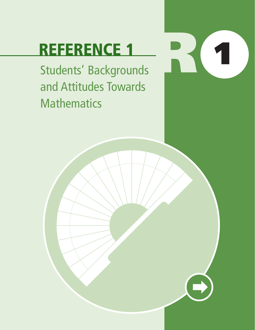# **REFERENCE 1**

Students' Backgrounds and Attitudes Towards **Mathematics** 

**R 1**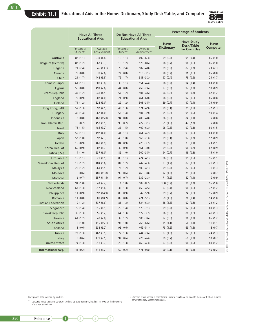

| Have All Three<br>Do Not Have All Three<br><b>Educational Aids</b><br><b>Educational Aids</b><br><b>Have Study</b><br>Have<br>Desk/Table                                  | Have<br>Computer    |
|---------------------------------------------------------------------------------------------------------------------------------------------------------------------------|---------------------|
|                                                                                                                                                                           |                     |
| <b>Dictionary</b><br>Percent of<br>Percent of<br>Average<br>Average<br>for Own Use<br>Students<br>Achievement<br>Students<br>Achievement                                  |                     |
| Australia<br>82(1.1)<br>533 (4.8)<br>18(1.1)<br>492 (6.3)<br>99 (0.2)<br>95 (0.4)                                                                                         | 86 (1.0)            |
| Belgium (Flemish)<br>18(1.2)<br>520 (8.6)<br>98 (0.7)<br>96 (0.6)<br>82(1.2)<br>567(3.3)                                                                                  | 86 (1.0)            |
| 546 (13.1)<br>79 (2.4)<br>502 (4.8)<br>89 (0.9)<br><b>Bulgaria</b><br>21(2.4)<br>87(1.2)                                                                                  | 23 (2.3)            |
| Canada<br>78 (0.8)<br>537 (2.6)<br>22(0.8)<br>510(3.1)<br>98 (0.2)<br>91 (0.6)                                                                                            | 85 (0.8)            |
| 97 (0.4)<br>21(1.7)<br>442 (9.8)<br>79 (1.7)<br>381 (3.2)<br>78 (0.9)<br>Chile                                                                                            | 23 (1.7)            |
| <b>Chinese Taipei</b><br>98 (0.2)<br>61(1.1)<br>608 (3.8)<br>39 (1.1)<br>551 (4.4)<br>94 (0.4)                                                                            | 63 (1.0)            |
| 56 (0.8)<br>44 (0.8)<br>459 (2.6)<br>97 (0.3)<br>97 (0.3)<br>Cyprus<br>493 (2.6)                                                                                          | 58 (0.9)            |
| Czech Republic<br>57(1.2)<br>504 (4.6)<br>94 (0.8)<br>91(0.7)<br>43 (1.2)<br>541 (4.5)                                                                                    | 47 (1.2)            |
| England<br>79 (0.9)<br>507(4.0)<br>21(0.9)<br>461 (6.0)<br>98 (0.3)<br>92 (0.6)                                                                                           | 85 (0.8)            |
| 89 (0.7)<br>71 (1.2)<br>528 (3.0)<br>29 (1.2)<br>501 (3.5)<br>97 (0.4)<br>Finland                                                                                         | 79 (0.9)            |
| Hong Kong, SAR<br>43 (1.3)<br>571 (4.9)<br>99 (0.1)<br>75 (0.9)<br>57(1.3)<br>592 (4.1)                                                                                   | 72 (1.3)            |
| 48 (1.4)<br>562 (4.0)<br>52 (1.4)<br>504 (3.9)<br>95 (0.8)<br>95 (0.5)<br>Hungary                                                                                         | 50(1.4)             |
| Indonesia<br>6(0.8)<br>468 (15.0)<br>94 (0.8)<br>400 (4.8)<br>86 (0.9)<br>84 (1.1)                                                                                        | 7(0.8)              |
| Iran, Islamic Rep.<br>5(0.7)<br>457 (9.5)<br>95 (0.7)<br>422 (3.1)<br>51 (1.5)<br>47 (2.2)                                                                                | 7(0.8)              |
| 98 (0.3)<br>78 (1.5)<br>486 (3.2)<br>22(1.5)<br>409 (6.2)<br>97 (0.3)<br>Israel                                                                                           | 80(1.5)             |
| 41(1.1)<br>98 (0.3)<br><b>Italy</b><br>59 (1.1)<br>492 (4.0)<br>461 (4.2)<br>93 (0.6)                                                                                     | 63 (1.0)            |
| 52 (1.0)<br>48 (1.0)<br>566 (2.3)<br>99 (0.1)<br>97(0.2)<br>Japan<br>592 (2.3)                                                                                            | 52 (0.9)            |
| Jordan<br>469 (6.9)<br>84 (0.9)<br>425 (3.7)<br>80(0.9)<br>73(1.1)<br>16(0.9)                                                                                             | 23 (1.1)            |
| Korea, Rep. of<br>65 (0.9)<br>602 (1.7)<br>35(0.9)<br>561 (3.0)<br>99 (0.2)<br>96(0.2)                                                                                    | 67 (0.9)            |
| 94 (0.7)<br>14(1.0)<br>537 (6.0)<br>86(1.0)<br>500 (3.5)<br>98 (0.3)<br>Latvia (LSS)                                                                                      | 15(1.0)             |
| Lithuania <sup>#</sup><br>85(1.1)<br>86 (0.9)<br>15(1.1)<br>529 (8.1)<br>474 (4.1)<br>95(0.5)                                                                             | 16(1.1)             |
| Macedonia, Rep. of<br>18(1.2)<br>82 (1.2)<br>442 (4.3)<br>83(1.2)<br>87(0.8)<br>484 (5.6)                                                                                 | 21 (1.3)            |
| 28 (1.2)<br>563 (5.5)<br>72 (1.2)<br>503 (4.1)<br>99 (0.2)<br>87(0.6)<br>Malaysia                                                                                         | 31(1.3)             |
| Moldova<br>5(0.6)<br>489 (11.8)<br>95 (0.6)<br>469 (3.8)<br>72 (1.3)<br>79 (0.9)                                                                                          | 7(0.7)              |
| 6(0.7)<br>357 (11.5)<br>94 (0.7)<br>339 (2.3)<br>71 (1.2)<br>52(1.1)<br>Morocco                                                                                           | 9(0.9)              |
| Netherlands<br>94 (1.0)<br>6(1.0)<br>509 (8.7)<br>100(0.2)<br>543 (7.2)<br>99 (0.2)                                                                                       | 96 (1.0)            |
| <b>New Zealand</b><br>512 (5.6)<br>453 (4.5)<br>97 (0.4)<br>90(0.6)<br>67(1.3)<br>33 (1.3)                                                                                | 72 (1.2)            |
| Philippines<br>89 (0.9)<br>342 (5.9)<br>89 (0.7)<br>74 (1.0)<br>11(0.9)<br>392 (14.9)                                                                                     | 15(0.9)             |
| Romania<br>509 (10.2)<br>89 (0.8)<br>471 (5.1)<br>76 (1.4)<br>11(0.8)<br>69 (1.6)<br>88 (1.3)<br>537 (6.6)                                                                | 14(1.0)             |
| 19 (1.2)<br>81(1.2)<br>524 (6.3)<br>92(0.8)<br><b>Russian Federation</b>                                                                                                  | 22 (1.2)            |
| Singapore<br>75 (1.4)<br>25(1.4)<br>99 (0.2)<br>92 (0.5)<br>615(6.1)<br>573 (7.1)                                                                                         | 80(1.3)             |
| 96 (0.5)<br>Slovak Republic<br>36(1.3)<br>556 (5.2)<br>64 (1.3)<br>522 (3.7)<br>88 (0.8)                                                                                  | 41 (1.3)            |
| 96(0.3)<br>Slovenia<br>61 $(1.2)$<br>547 (2.8)<br>39 (1.2)<br>506(3.6)<br>92 (0.6)<br>8(1.0)<br>92 (1.0)<br>South Africa<br>415 (15.1)<br>265 (6.6)<br>75(1.1)<br>56(1.1) | 66 (1.2)<br>11(1.1) |
| 92 (0.6)<br>8(0.6)<br>538 (9.2)<br>462 (5.1)<br>75 (1.2)<br>63(1.5)<br>Thailand                                                                                           | 8(0.7)              |
| Tunisia<br>23(1.3)<br>77(1.3)<br>444 (2.6)<br>87 (1.0)<br>92 (0.6)<br>462 (3.5)                                                                                           | 24(1.3)             |
| Turkey<br>8(0.6)<br>471(7.1)<br>92 (0.6)<br>426 (4.4)<br>89 (0.7)<br>69 (1.3)                                                                                             | 10(0.7)             |
| <b>United States</b><br>74 (1.3)<br>518 (3.7)<br>26(1.3)<br>463 (4.3)<br>97 (0.3)<br>90(0.5)                                                                              | 80(1.2)             |
| <b>International Avg.</b><br>471 (0.8)<br>41(0.2)<br>516 (1.2)<br>59 (0.2)<br>90(0.1)<br>86(0.1)                                                                          | 45 (0.2)            |

Background data provided by students.

‡ Lithuania tested the same cohort of students as other countries, but later in 1999, at the beginning of the next school year.

( ) Standard errors appear in parentheses. Because results are rounded to the nearest whole number, some totals may appear inconsistent.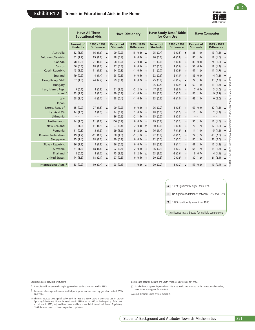

|                                                                                                                                                                                                                                                                                                                                                                                                                                                                                                                                                                                                                         | <b>Have All Three</b><br><b>Educational Aids</b> |                                                | <b>Have Study Desk/Table</b><br><b>Have Computer</b><br><b>Have Dictionary</b><br>for Own Use |                                   |                                                                                      |                                                                                                                                                                               |                               |                                    |
|-------------------------------------------------------------------------------------------------------------------------------------------------------------------------------------------------------------------------------------------------------------------------------------------------------------------------------------------------------------------------------------------------------------------------------------------------------------------------------------------------------------------------------------------------------------------------------------------------------------------------|--------------------------------------------------|------------------------------------------------|-----------------------------------------------------------------------------------------------|-----------------------------------|--------------------------------------------------------------------------------------|-------------------------------------------------------------------------------------------------------------------------------------------------------------------------------|-------------------------------|------------------------------------|
|                                                                                                                                                                                                                                                                                                                                                                                                                                                                                                                                                                                                                         | Percent of<br><b>Students</b>                    | 1995 - 1999<br><b>Difference</b>               | <b>Percent of</b><br><b>Students</b>                                                          | 1995 - 1999<br><b>Difference</b>  | <b>Percent of</b><br><b>Students</b>                                                 | 1995 - 1999<br><b>Difference</b>                                                                                                                                              | Percent of<br><b>Students</b> | 1995 - 1999<br><b>Difference</b>   |
| Australia                                                                                                                                                                                                                                                                                                                                                                                                                                                                                                                                                                                                               | 82(1.1)                                          | 16 $(1.6)$ $\triangle$                         | 99 (0.2)                                                                                      | 11 $(0.8)$ $\triangle$            | 95 (0.4)                                                                             | $-2(0.5)$ $\blacktriangledown$                                                                                                                                                | 86(1.0)                       | 13(1.5)<br>$\blacktriangle$        |
| Belgium (Flemish)                                                                                                                                                                                                                                                                                                                                                                                                                                                                                                                                                                                                       | 82 (1.2)                                         | 19(1.8)<br>$\blacktriangle$                    | 98 (0.7)                                                                                      | 0(0.8)                            | 96 (0.6)                                                                             | $-1(0.8)$<br>$\circ$                                                                                                                                                          | 86 (1.0)                      | 19(1.6)<br>$\blacktriangle$        |
| Canada                                                                                                                                                                                                                                                                                                                                                                                                                                                                                                                                                                                                                  | 78 (0.8)                                         | 21(1.6)<br>$\blacktriangle$                    | 98 (0.2)                                                                                      | 2 $(0.4)$ $\triangle$             | 91 (0.6)                                                                             | 2(0.8)<br>$\circ$                                                                                                                                                             | 85(0.8)                       | 24 (1.6) $\triangle$               |
| Cyprus                                                                                                                                                                                                                                                                                                                                                                                                                                                                                                                                                                                                                  | 56 (0.8)                                         | 18(1.2)<br>$\blacktriangle$                    | 97(0.3)                                                                                       | 0(0.5)<br>$\circ$                 | 97 (0.3)                                                                             | 1(0.6)<br>$\circ$                                                                                                                                                             | 58 (0.9)                      | 19 $(1.3)$ $\triangle$             |
| <b>Czech Republic</b>                                                                                                                                                                                                                                                                                                                                                                                                                                                                                                                                                                                                   | 43 (1.2)                                         | 11(1.8)<br>$\blacktriangle$                    | 94 (0.8)                                                                                      | $-1(0.9)$<br>$\circ$              | 91(0.7)                                                                              | 2(0.9)<br>$\qquad \qquad \circ$                                                                                                                                               | 47 (1.2)                      | 11 $(1.7)$ $\triangle$             |
| England                                                                                                                                                                                                                                                                                                                                                                                                                                                                                                                                                                                                                 | 79 (0.9)                                         | $-1(1.4)$<br>$\odot$                           | 98 (0.3)                                                                                      | 0(0.5)<br>$\odot$                 | 92 (0.6)                                                                             | 2(1.0)<br>$\bullet$                                                                                                                                                           | 85 (0.8)                      | $-4(1.2)$<br>$\blacktriangledown$  |
| Hong Kong, SAR                                                                                                                                                                                                                                                                                                                                                                                                                                                                                                                                                                                                          | 57(1.3)                                          | 24(2.2)<br>$\blacktriangle$                    | 99 (0.1)                                                                                      | 0(0.2)<br>$\odot$                 | 75 (0.9)                                                                             | $-5(1.4)$ $\blacktriangledown$                                                                                                                                                | 72(1.3)                       | 33(2.3)<br>$\blacktriangle$        |
| Hungary                                                                                                                                                                                                                                                                                                                                                                                                                                                                                                                                                                                                                 | $\qquad -$                                       | $- -$                                          | $ -$                                                                                          | $-\ -$                            | 95 (0.5)                                                                             | $3(0.9)$ $\triangle$                                                                                                                                                          | 50(1.4)                       | 13(1.8)<br>$\blacktriangle$        |
|                                                                                                                                                                                                                                                                                                                                                                                                                                                                                                                                                                                                                         |                                                  | 4(0.8)                                         |                                                                                               | $-2(2.1)$                         | 47 (2.2)                                                                             | 8(3.0)                                                                                                                                                                        | 7(0.8)                        | $3(1.0)$ $\triangle$               |
| Iran, Islamic Rep.<br>Israel <sup>†</sup>                                                                                                                                                                                                                                                                                                                                                                                                                                                                                                                                                                               | 5(0.7)<br>83 (1.7)                               | $\blacktriangle$<br>9(2.7)<br>$\blacktriangle$ | 51(1.5)<br>99 (0.2)                                                                           | $\circ$<br>$-1(0.3)$              | 98 (0.2)                                                                             | $\circ$<br>0(0.5)<br>$\circ$                                                                                                                                                  | 85 (1.8)                      | 9(2.7)<br>$\blacktriangle$         |
|                                                                                                                                                                                                                                                                                                                                                                                                                                                                                                                                                                                                                         |                                                  |                                                |                                                                                               |                                   |                                                                                      |                                                                                                                                                                               |                               |                                    |
| Italy                                                                                                                                                                                                                                                                                                                                                                                                                                                                                                                                                                                                                   | 58 (1.4)                                         | $-1$ (2.1)<br>$\circ$                          | 98 (0.4)                                                                                      | $-1(0.4)$<br>$\circ$              | 93 (0.6)                                                                             | $-1(1.0)$<br>$\bullet$                                                                                                                                                        | 62(1.3)                       | 0(2.0)                             |
| Japan                                                                                                                                                                                                                                                                                                                                                                                                                                                                                                                                                                                                                   | $\qquad \qquad -$                                | $- -$                                          | $- -$                                                                                         | $- -$                             | $ -$                                                                                 | $ -$                                                                                                                                                                          | $- -$                         | $- -$                              |
| Korea, Rep. of                                                                                                                                                                                                                                                                                                                                                                                                                                                                                                                                                                                                          | 65 (0.9)                                         | 27 $(1.5)$ $\triangle$                         | 99 (0.2)                                                                                      | 0(0.3)<br>$\circ$                 | 96 (0.2)                                                                             | 1(0.5)<br>$\sim$                                                                                                                                                              | 67(0.9)                       | 27(1.5)<br>$\blacktriangle$        |
| Latvia (LSS)                                                                                                                                                                                                                                                                                                                                                                                                                                                                                                                                                                                                            | 14(1.0)                                          | 2(1.3)<br>$\odot$                              | 94 (0.7)                                                                                      | 1(0.9)<br>$\odot$                 | 98 (0.3)                                                                             | 0(0.5)                                                                                                                                                                        | 15(1.0)                       | 2(1.3)                             |
| Lithuania                                                                                                                                                                                                                                                                                                                                                                                                                                                                                                                                                                                                               | $\overline{\phantom{a}}$                         | $- -$                                          | 86 (0.9)                                                                                      | $-2(1.4)$<br>$\circ$              | 95 (0.5)                                                                             | 1(0.8)<br>$\circ$                                                                                                                                                             |                               | $- -$                              |
| Netherlands                                                                                                                                                                                                                                                                                                                                                                                                                                                                                                                                                                                                             | 94 (1.0)                                         | 11(1.6)<br>$\blacktriangle$                    | 100(0.2)                                                                                      | 0(0.2)<br>$\circ$                 | 99 (0.2)                                                                             | 0(0.3)<br>$\sim$                                                                                                                                                              | 96(1.0)                       | 11(1.6)<br>$\blacktriangle$        |
| <b>New Zealand</b>                                                                                                                                                                                                                                                                                                                                                                                                                                                                                                                                                                                                      | 67(1.3)                                          | 11(1.9)<br>$\blacktriangle$                    | 97 (0.4)                                                                                      | $-2(0.4)$<br>$\blacktriangledown$ | 90 (0.6)                                                                             | 0(0.8)<br>$\bullet$                                                                                                                                                           | 72 (1.2)                      | 12(1.8)<br>$\blacktriangle$        |
| Romania                                                                                                                                                                                                                                                                                                                                                                                                                                                                                                                                                                                                                 | 11(0.8)                                          | 3(1.3)<br>$\odot$                              | 69 (1.6)                                                                                      | 9 (2.2) $\triangle$               | 76 (1.4)                                                                             | $7(1.9)$ $\triangle$                                                                                                                                                          | 14(1.0)                       | $-5(1.5)$<br>$\blacktriangledown$  |
| <b>Russian Federation</b>                                                                                                                                                                                                                                                                                                                                                                                                                                                                                                                                                                                               | 19(1.2)                                          | $-11(1.9)$<br>$\blacktriangledown$             | 88 (1.3)                                                                                      | $-1(1.7)$<br>$\circ$              | 92 (0.8)                                                                             | $-3(1.1)$<br>$\bullet$                                                                                                                                                        | 22(1.2)                       | $-13(2.0)$<br>$\blacktriangledown$ |
| Singapore                                                                                                                                                                                                                                                                                                                                                                                                                                                                                                                                                                                                               | 75 (1.4)                                         | 28(2.0)<br>$\blacktriangle$                    | 99 (0.2)                                                                                      | 0(0.2)<br>$\odot$                 | 92 (0.5)                                                                             | 0(0.7)<br>$\bullet$                                                                                                                                                           | 80(1.3)                       | 31(2.0)<br>$\blacktriangle$        |
| Slovak Republic                                                                                                                                                                                                                                                                                                                                                                                                                                                                                                                                                                                                         | 36(1.3)                                          | 9(1.8)<br>$\blacktriangle$                     | 96 (0.5)                                                                                      | 0(0.7)<br>$\circ$                 | 88 (0.8)                                                                             | $1(1.1)$ $\bullet$                                                                                                                                                            | 41 (1.3)                      | 10(1.8)<br>$\blacktriangle$        |
| Slovenia                                                                                                                                                                                                                                                                                                                                                                                                                                                                                                                                                                                                                | 61(1.2)                                          | 18(1.8)<br>$\blacktriangle$                    | 92 (0.6)                                                                                      | $-2(0.8)$<br>$\circ$              | 96 (0.3)                                                                             | $3(0.7)$ $\triangle$                                                                                                                                                          | 66 (1.2)                      | 19 (1.8)<br>$\blacktriangle$       |
| Thailand <sup>t</sup>                                                                                                                                                                                                                                                                                                                                                                                                                                                                                                                                                                                                   | 8(0.6)                                           | 4(1.0)<br>$\blacktriangle$                     | 75 (1.2)                                                                                      | 8(2.4)<br>$\blacktriangle$        | 63 (1.5)                                                                             | $-2(2.6)$<br>$\circ$                                                                                                                                                          | 8(0.7)                        | 4(1.1)<br>$\blacktriangle$         |
| <b>United States</b>                                                                                                                                                                                                                                                                                                                                                                                                                                                                                                                                                                                                    | 74 (1.3)                                         | 18(2.1)<br>$\blacktriangle$                    | 97 (0.3)                                                                                      | 0(0.5)<br>$\circ$                 | 90(0.5)                                                                              | 0(0.9)                                                                                                                                                                        | 80(1.2)                       | 21(2.1)<br>$\blacktriangle$        |
|                                                                                                                                                                                                                                                                                                                                                                                                                                                                                                                                                                                                                         |                                                  |                                                |                                                                                               |                                   |                                                                                      |                                                                                                                                                                               |                               |                                    |
| International Avg. §                                                                                                                                                                                                                                                                                                                                                                                                                                                                                                                                                                                                    | 53 $(0.2)$                                       | 10(0.4)<br>$\blacktriangle$                    | 93(0.1)                                                                                       | 1(0.2)<br>$\blacktriangle$        | 90(0.2)                                                                              | 1(0.2)<br>$\blacktriangle$                                                                                                                                                    | 57(0.2)                       | 10(0.4)<br>$\blacktriangle$        |
|                                                                                                                                                                                                                                                                                                                                                                                                                                                                                                                                                                                                                         |                                                  |                                                |                                                                                               |                                   |                                                                                      | • No significant difference between 1995 and 1999<br>▼ 1999 significantly lower than 1995<br>Significance tests adjusted for multiple comparisons                             |                               |                                    |
| Background data provided by students.<br>Countries with unapproved sampling procedures at the classroom level in 1995.<br>ş<br>International average is for countries that participated and met sampling quidelines in both 1995<br>and 1999.<br>Trend notes: Because coverage fell below 65% in 1995 and 1999, Latvia is annotated LSS for Latvian-<br>Speaking Schools only. Lithuania tested later in 1999 than in 1995, at the beginning of the next<br>school year. In 1995, Italy and Israel were unable to cover their International Desired Population;<br>1999 data are based on their comparable populations. |                                                  |                                                |                                                                                               |                                   | some totals may appear inconsistent.<br>A dash (-) indicates data are not available. | Background data for Bulgaria and South Africa are unavailable for 1995.<br>() Standard errors appear in parentheses. Because results are rounded to the nearest whole number, |                               |                                    |
|                                                                                                                                                                                                                                                                                                                                                                                                                                                                                                                                                                                                                         |                                                  |                                                |                                                                                               |                                   |                                                                                      | Students' Background and Attitudes Towards Mathematics                                                                                                                        |                               |                                    |

- † Countries with unapproved sampling procedures at the classroom level in 1995.
- § International average is for countries that participated and met sampling guidelines in both 1995 and 1999.

R1.2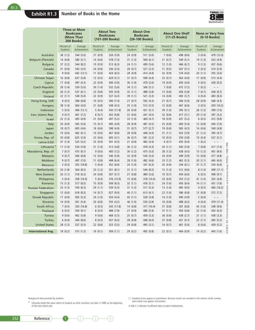#### **Exhibit R1.3 Number of Books in the Home**



|                           | <b>Three or More</b><br><b>Bookcases</b><br>(More Than<br>200 Books) |             | <b>About Two</b><br><b>Bookcases</b><br>(101-200 Books) |             |            | <b>About One</b><br><b>Bookcase</b><br>(26-100 Books) | <b>About One Shelf</b><br>(11-25 Books) |             |            | <b>None or Very Few</b><br>(0-10 Books) |
|---------------------------|----------------------------------------------------------------------|-------------|---------------------------------------------------------|-------------|------------|-------------------------------------------------------|-----------------------------------------|-------------|------------|-----------------------------------------|
|                           | Percent of                                                           | Average     | Percent of                                              | Average     | Percent of | Average                                               | Percent of                              | Average     | Percent of | Average                                 |
|                           | Students                                                             | Achievement | Students                                                | Achievement | Students   | Achievement                                           | Students                                | Achievement | Students   | Achievement                             |
| Australia                 | 38(1.2)                                                              | 544 (5.0)   | 27(0.9)                                                 | 526 (5.9)   | 24(0.9)    | 511 (5.0)                                             | 7(0.6)                                  | 498 (8.6)   | 3(0.4)     | 479 (13.3)                              |
| Belgium (Flemish)         | 14(0.8)                                                              | 580 (5.1)   | 14(0.6)                                                 | 578 (7.3)   | 31(1.3)    | 569 (6.1)                                             | 21(0.7)                                 | 549 (5.1)   | 19(1.3)    | 523 (4.9)                               |
| <b>Bulgaria</b>           | 37(2.2)                                                              | 544 (8.2)   | 19 (0.9)                                                | 513 (6.3)   | 24(1.1)    | 499 (5.6)                                             | 12(1.0)                                 | 466 (6.7)   | 9(1.3)     | 457 (9.6)                               |
| Canada                    | 31(0.9)                                                              | 543 (3.5)   | 24 (0.8)                                                | 536 (3.5)   | 28(0.7)    | 527 (3.3)                                             | 11(0.5)                                 | 507(5.1)    | 5(0.3)     | 510 (5.9)                               |
| Chile                     | 9(0.6)                                                               | 442 (13.1)  | 11(0.6)                                                 | 424 (8.3)   | 28(0.9)    | 414 (4.9)                                             | 32 (0.9)                                | 374 (4.0)   | 20(1.1)    | 355 (3.0)                               |
| <b>Chinese Taipei</b>     | 16(0.8)                                                              | 637 (5.8)   | 12(0.5)                                                 | 629 (5.7)   | 31(0.7)    | 599 (4.4)                                             | 23(0.7)                                 | 563 (4.0)   | 17(0.9)    | 513 (4.4)                               |
| Cyprus                    | 17(0.8)                                                              | 497 (4.3)   | 23(0.9)                                                 | 494 (3.9)   | 36(1.0)    | 479 (2.6)                                             | 19 (0.9)                                | 450 (4.0)   | 5(0.5)     | 428 (9.2)                               |
| <b>Czech Republic</b>     | 28 (1.4)                                                             | 539 (5.0)   | 30(1.4)                                                 | 532 (5.6)   | 34(1.1)    | 506(5.1)                                              | 7(0.8)                                  | 472 (7.2)   | 1(0.2)     | $\sim$ ~                                |
| England                   | 26(1.2)                                                              | 537 (6.1)   | 23(0.8)                                                 | 505(4.9)    | 32(1.1)    | 488 (3.8)                                             | 13(0.8)                                 | 456 (5.8)   | 7(0.7)     | 438 (9.7)                               |
| Finland                   | 22(1.1)                                                              | 538 (5.0)   | 22(0.9)                                                 | 527 (4.3)   | 39(1.1)    | 521(3.3)                                              | 14(0.8)                                 | 492 (3.7)   | 4(0.4)     | 483 (8.3)                               |
| Hong Kong, SAR            | 8(0.5)                                                               | 588 (8.8)   | 10(0.5)                                                 | 590 (7.4)   | 27(0.7)    | 592 (4.3)                                             | 27(0.7)                                 | 584 (5.0)   | 28 (0.9)   | 568 (4.3)                               |
| Hungary                   | 38 (1.4)                                                             | 564 (4.0)   | 21(0.8)                                                 | 548 (4.3)   | 25(1.0)    | 513 (3.5)                                             | 12(0.8)                                 | 467 (6.6)   | 3(0.5)     | 429 (10.2)                              |
| Indonesia                 | 5(0.5)                                                               | 406 (12.1)  | 5(0.4)                                                  | 430 (11.8)  | 26 (0.9)   | 421 (5.1)                                             | 39 (1.0)                                | 395 (5.1)   | 26(1.3)    | 399 (7.0)                               |
| Iran, Islamic Rep.        | 9(0.7)                                                               | 461 (7.2)   | 8(0.7)                                                  | 452 (6.8)   | 22(0.6)    | 441 (4.5)                                             | 32 (0.8)                                | 417(3.1)    | 29 (1.4)   | 397 (3.2)                               |
| <b>Israel</b>             | 22(1.3)                                                              | 495 (4.9)   | 21(0.8)                                                 | 497 (5.2)   | 33(1.0)    | 469 (4.7)                                             | 18(0.9)                                 | 431 (5.2)   | 6(0.5)     | 412 (9.8)                               |
| Italy                     | 20(0.9)                                                              | 505 (5.6)   | 15(0.7)                                                 | 495 (4.9)   | 28(0.9)    | 487 (4.5)                                             | 25(0.9)                                 | 460 (5.4)   | 12(0.8)    | 444 (7.0)                               |
| Japan                     | 18(0.7)                                                              | 605 (4.6)   | 18(0.6)                                                 | 598 (4.0)   | 31(0.7)    | 577 (2.7)                                             | 19 (0.6)                                | 565 (4.3)   | 14(0.6)    | 549 (4.8)                               |
| Jordan                    | 10(0.6)                                                              | 462 (6.1)   | 10(0.6)                                                 | 467 (8.8)   | 28 (0.8)   | 448 (4.4)                                             | 31(1.1)                                 | 423 (3.9)   | 21(1.2)    | 395 (4.7)                               |
| Korea, Rep. of            | 20(0.8)                                                              | 625(2.9)    | 23(0.6)                                                 | 605(3.1)    | 36(0.7)    | 581 (2.2)                                             | 10(0.5)                                 | 550 (3.8)   | 10(0.4)    | 527 (5.1)                               |
| Latvia (LSS)              | 47 (1.4)                                                             | 525 (4.2)   | 25(0.9)                                                 | 501 (4.5)   | 21(0.9)    | 483 (4.4)                                             | 6(0.7)                                  | 455 (9.4)   | 1(0.2)     | $\thicksim$                             |
| Lithuania <sup>+</sup>    | 17(1.0)                                                              | 524 (5.8)   | 21(1.0)                                                 | 513 (4.8)   | 36(1.2)    | 478 (4.3)                                             | 20(1.1)                                 | 440 (5.9)   | 7(0.8)     | 417 (7.4)                               |
| Macedonia, Rep. of        | 7(0.7)                                                               | 475 (8.7)   | 9(0.6)                                                  | 483 (7.2)   | 30(1.2)    | 475 (5.0)                                             | 38(1.3)                                 | 438 (4.5)   | 15(1.3)    | 401 (8.4)                               |
| Malaysia                  | 9(0.7)                                                               | 566 (6.8)   | 12(0.6)                                                 | 546 (5.8)   | 32 (0.9)   | 536 (5.0)                                             | 34 (0.9)                                | 499 (3.9)   | 13(0.8)    | 477 (4.8)                               |
| Moldova                   | 9(0.7)                                                               | 497 (7.0)   | 11(0.8)                                                 | 498 (6.4)   | 28(1.0)    | 482 (4.6)                                             | 33(1.2)                                 | 462 (5.3)   | 20(1.1)    | 445 (6.0)                               |
| Morocco                   | 3(0.3)                                                               | 352 (18.8)  | 5(0.4)                                                  | 352 (8.6)   | 20(1.0)    | 347 (6.3)                                             | 35 (0.9)                                | 344 (6.1)   | 37(1.7)    | 330 (6.9)                               |
| Netherlands               | 24 (1.8)                                                             | 564 (8.5)   | 23(1.2)                                                 | 551 (8.1)   | 31(1.1)    | 540 (8.2)                                             | 15(1.4)                                 | 512 (9.6)   | 8(1.4)     | 499 (11.1)                              |
| <b>New Zealand</b>        | 33(1.1)                                                              | 518 (6.3)   | 24(0.8)                                                 | 507 (5.7)   | 27(0.8)    | 480 (5.6)                                             | 10(0.7)                                 | 450 (6.6)   | 6(0.5)     | 408 (9.1)                               |
| Philippines               | 5(0.4)                                                               | 358 (16.9)  | 5(0.4)                                                  | 376 (15.9)  | 15(0.8)    | 378 (10.4)                                            | 33 (0.9)                                | 353 (7.2)   | 41(1.4)    | 325 (4.8)                               |
| Romania                   | 15(1.3)                                                              | 517 (8.5)   | 15(0.9)                                                 | 509 (8.3)   | 32(1.1)    | 476 (5.1)                                             | 24(1.6)                                 | 450 (8.4)   | 14(1.1)    | 431 (7.6)                               |
| <b>Russian Federation</b> | 23(1.5)                                                              | 556 (6.3)   | 29(1.1)                                                 | 539 (5.5)   | 31(1.3)    | 517 (5.3)                                             | 13(1.0)                                 | 485 (9.0)   | 4(0.5)     | 460 (16.2)                              |
| Singapore                 | 12(0.6)                                                              | 618(8.3)    | 14(0.7)                                                 | 627 (9.0)   | 40(1.1)    | 613(6.1)                                              | 22(1.0)                                 | 586 (6.8)   | 12(0.8)    | 572 (7.2)                               |
| <b>Slovak Republic</b>    | 17(0.9)                                                              | 565 (5.3)   | 24(1.0)                                                 | 554 (4.4)   | 43 (1.1)   | 528 (3.8)                                             | 14(1.0)                                 | 490 (4.9)   | 2(0.4)     | $\sim$ ~                                |
| Slovenia                  | 14(0.9)                                                              | 561 (5.4)   | 20(0.8)                                                 | 555 (4.2)   | 46 (1.0)   | 530 (2.8)                                             | 16(0.8)                                 | 488 (6.2)   | 4(0.4)     | 479 (11.4)                              |
| South Africa              | 7(0.5)                                                               | 320 (16.8)  | 6(0.5)                                                  | 343 (17.8)  | 14(0.8)    | 317 (10.4)                                            | 31(0.8)                                 | 281 (6.6)   | 43 (1.6)   | 248 (9.6)                               |
| Thailand                  | 6(0.5)                                                               | 504(9.1)    | 8(0.5)                                                  | 488 (7.9)   | 27(0.9)    | 486 (5.9)                                             | 37(1.1)                                 | 459 (4.8)   | 22(1.0)    | 443 (6.5)                               |
| Tunisia                   | 9(0.6)                                                               | 462 (5.8)   | 9(0.6)                                                  | 468 (5.5)   | 25(0.7)    | 459 (3.3)                                             | 36(0.9)                                 | 438 (2.7)   | 21(1.1)    | 438 (3.3)                               |
| Turkey                    | 6(0.4)                                                               | 444 (8.6)   | 8(0.5)                                                  | 457 (6.5)   | 28 (0.8)   | 448 (6.0)                                             | 37(0.8)                                 | 421 (4.7)   | 22(1.1)    | 405 (5.2)                               |
| <b>United States</b>      | 28(1.2)                                                              | 537 (5.5)   | 22(0.6)                                                 | 523 (3.5)   | 29(0.8)    | 495 (3.1)                                             | 14(0.7)                                 | 461 (5.0)   | 8(0.6)     | 439 (5.2)                               |
| <b>International Avg.</b> | 18(0.2)                                                              | 515(1.3)    | 16(0.1)                                                 | 509(1.1)    | 29(0.2)    | 492 (0.8)                                             | 22(0.1)                                 | 464 (0.9)   | 14(0.2)    | 443 (1.6)                               |

SOURCE: IEA Third International Mathematics and Science Study (TIMSS), 1998-1999. SOURCE: IEA Third International Mathematics and Science Study (TIMSS), 1998-1999.

Background data provided by students.

‡ Lithuania tested the same cohort of students as other countries, but later in 1999, at the beginning of the next school year.

( ) Standard errors appear in parentheses. Because results are rounded to the nearest whole number, some totals may appear inconsistent.

A tilde (~) indicates insufficient data to report achievement.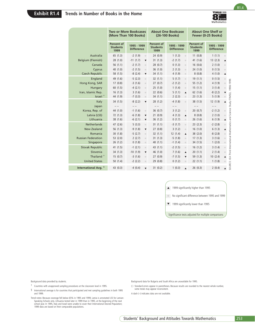

|                                 |                                       | <b>Two or More Bookcases</b><br><b>About One Bookcase</b><br>(More Than 100 Books)<br>(26-100 Books) |                                       |                                                                                                      | <b>About One Shelf or</b><br>Fewer (0-25 Books) |                                                           |  |
|---------------------------------|---------------------------------------|------------------------------------------------------------------------------------------------------|---------------------------------------|------------------------------------------------------------------------------------------------------|-------------------------------------------------|-----------------------------------------------------------|--|
|                                 | Percent of<br><b>Students</b><br>1999 | 1995 - 1999<br><b>Difference</b>                                                                     | Percent of<br><b>Students</b><br>1999 | 1995 - 1999<br><b>Difference</b>                                                                     | Percent of<br><b>Students</b><br>1999           | 1995 - 1999<br><b>Difference</b>                          |  |
| Australia                       | 65 (1.3)                              | $-2(1.9)$<br>$\circ$                                                                                 | 24(0.9)                               | 1(1.3)<br>$\odot$                                                                                    | 11(0.8)                                         | 1(1.1)<br>$\odot$                                         |  |
| Belgium (Flemish)               | 28(1.0)                               | $-11(1.7)$<br>$\blacktriangledown$                                                                   | 31(1.3)                               | $-2(1.7)$<br>$\circ$                                                                                 | 41 (1.6)                                        | 13(2.3)<br>$\blacktriangle$                               |  |
| Canada                          | 56 (1.1)                              | $-2(1.7)$<br>$\circ$                                                                                 | 28 (0.7)                              | 0(1.3)<br>$\circ$                                                                                    | 16(0.6)                                         | 2(1.0)<br>$\circ$                                         |  |
| Cyprus                          | 40 (1.0)                              | $-2(1.5)$<br>$\hfill \textcircled{.}$                                                                | 36(1.0)                               | 2(1.3)<br>$\circ$                                                                                    | 24 (1.0)                                        | 0(1.5)<br>$\hfill\textcircled{\ensuremath{\circ}}$        |  |
| <b>Czech Republic</b>           | 58 (1.5)                              | $-8(2.4)$<br>$\blacktriangledown$                                                                    | 34(1.1)                               | 4(1.9)<br>$\odot$                                                                                    | 8(0.8)                                          | 4(1.0)<br>$\blacktriangle$                                |  |
| England                         | 49 (1.6)                              | $-5(2.3)$<br>$\hfill\ensuremath{\circ}$                                                              | 32(1.1)                               | 5(1.7)<br>$\circ$                                                                                    | 19(1.1)                                         | 0(1.5)<br>$\hskip 1.6cm \circ$                            |  |
| Hong Kong, SAR                  | 17(0.8)                               | $-3(1.6)$<br>$\hfill\ensuremath{\circ}$                                                              | 27(0.7)                               | $-2(1.2)$<br>$\circ$                                                                                 | 55 (1.2)                                        | 4 (1.9)<br>$\hfill \textcircled{\ensuremath{\mathbb{R}}}$ |  |
| Hungary                         | 60(1.5)                               | $-4(2.1)$<br>$\hfill\ensuremath{\circ}$                                                              | 25(1.0)                               | 1(1.4)<br>$\circ$                                                                                    | 15(1.1)                                         | 3(1.4)<br>$\hfill\textcircled{\ensuremath{\circ}}$        |  |
| Iran, Islamic Rep.              | 16(1.3)                               | 3(1.6)<br>$\circ$                                                                                    | 22(0.6)                               | 5(1.1)<br>$\blacktriangle$                                                                           | 62 (1.6)                                        | $-8(2.2)$<br>▼                                            |  |
| Israel <sup>†</sup>             | 44 (1.9)                              | $-7(3.3)$<br>$\circ$                                                                                 | 34 (1.1)                              | 2(2.3)<br>$\hfill\textcircled{\ensuremath{\mathnormal{\sqcup}}\,}$                                   | 23(1.3)                                         | 5(1.9)<br>$\bullet$                                       |  |
| Italy<br>Japan                  | 34 (1.5)<br>$- -$                     | $-8(2.2)$<br>$\blacktriangledown$<br>$- -$                                                           | 28 (1.2)<br>$- -$                     | -4 (1.8)<br>$\bullet$<br>$- -$                                                                       | 38 (1.5)<br>$- -$                               | 12(1.9)<br>$\blacktriangle$<br>$- -$                      |  |
| Korea, Rep. of                  | 44 (1.0)                              | $-1(1.6)$<br>$\hfill\ensuremath{\circ}$                                                              | 36(0.7)                               | 3(1.2)<br>$\odot$                                                                                    | 20(0.7)                                         | $-2(1.2)$                                                 |  |
| Latvia (LSS)                    | 72 (1.3)                              | $-6(1.8)$<br>$\blacktriangledown$                                                                    | 21(0.9)                               | 4(1.3)<br>$\blacktriangle$                                                                           | 8(0.8)                                          | 2(1.0)                                                    |  |
| Lithuania                       | 38 (1.6)                              | $-6(2.1)$<br>$\blacktriangledown$                                                                    | 36(1.2)                               | 0(1.7)<br>$\circ$                                                                                    | 26 (1.6)                                        | 6(1.9)<br>$\blacktriangle$                                |  |
| Netherlands                     | 47 (2.6)                              | 5(3.3)<br>$\hfill\ensuremath{\circ}$                                                                 | 31(1.1)                               | $-3(1.7)$<br>$\circ$                                                                                 | 23 (2.3)                                        | $-2(2.8)$<br>$\bullet$                                    |  |
| <b>New Zealand</b>              | 56 (1.3)                              | $-9(1.8)$<br>$\blacktriangledown$                                                                    | 27(0.8)                               | 3(1.2)<br>$\circ$                                                                                    | 16(1.0)                                         | 6(1.3)<br>$\blacktriangle$                                |  |
| Romania                         | 30(1.8)                               | $-5(2.7)$<br>$\hfill\ensuremath{\circ}$                                                              | 32(1.1)                               | 12(1.4)<br>$\blacktriangle$                                                                          | 38 (2.0)                                        | $-8(2.8)$<br>$\circ$                                      |  |
| <b>Russian Federation</b>       | 53 (2.0)                              | 2(2.7)<br>$\hfill\ensuremath{\circ}$                                                                 | 31(1.3)                               | $-5(1.8)$<br>$\circ$                                                                                 | 17(1.3)                                         | 3(1.6)                                                    |  |
| Singapore                       | 26 (1.2)                              | 0(1.8)<br>$\hfill\ensuremath{\circ}$                                                                 | 40 (1.1)                              | $-1(1.4)$<br>$\circ$                                                                                 | 34 (1.5)                                        | 1(2.0)                                                    |  |
| <b>Slovak Republic</b>          | 41 (1.5)                              | $-1$ (2.1)<br>$\hfill\ensuremath{\circ}$                                                             | 43 (1.1)                              | $-2(1.5)$<br>$\circ$                                                                                 | 16(1.2)                                         | 3(1.4)<br>$\bullet$                                       |  |
| Slovenia                        | 34 (1.3)                              | $-10(1.9)$<br>$\blacktriangledown$                                                                   | 46 (1.0)                              | 7(1.6)<br>$\blacktriangle$                                                                           | 20(1.1)                                         | 2(1.4)<br>$\bullet$                                       |  |
| Thailand <sup>+</sup>           | 15(0.7)                               | $-3(1.6)$<br>$\hfill\ensuremath{\circ}$                                                              | 27(0.9)                               | $-7(1.5)$<br>$\blacktriangledown$                                                                    | 59 (1.3)                                        | 10(2.4)<br>$\blacktriangle$                               |  |
| <b>United States</b>            | 50 (1.4)                              | $-2(2.2)$<br>$\odot$                                                                                 | 29(0.8)                               | 0(1.2)<br>$\circ$                                                                                    | 22(1.1)                                         | 1(1.8)<br>$\bullet$                                       |  |
| International Avg. <sup>§</sup> | 43(0.3)                               | $-4(0.4)$<br>$\blacktriangledown$                                                                    | 31(0.2)                               | 1(0.3)<br>$\blacktriangle$                                                                           | 26 (0.3)                                        | 2(0.4)<br>$\blacktriangle$                                |  |
|                                 |                                       |                                                                                                      |                                       | ▲ 1999 significantly higher than 1995<br>$\begin{array}{ccc} \circ & \circ & \circ \end{array}$<br>▼ | 1999 significantly lower than 1995              | No significant difference between 1995 and 1999           |  |
|                                 |                                       |                                                                                                      |                                       | Significance tests adjusted for multiple comparisons                                                 |                                                 |                                                           |  |
|                                 |                                       |                                                                                                      |                                       |                                                                                                      |                                                 |                                                           |  |
|                                 |                                       |                                                                                                      |                                       |                                                                                                      |                                                 |                                                           |  |

Background data provided by students.

- † Countries with unapproved sampling procedures at the classroom level in 1995.
- § International average is for countries that participated and met sampling guidelines in both 1995 and 1999.
- Trend notes: Because coverage fell below 65% in 1995 and 1999, Latvia is annotated LSS for Latvian-Speaking Schools only. Lithuania tested later in 1999 than in 1995, at the beginning of the next school year. In 1995, Italy and Israel were unable to cover their International Desired Population; 1999 data are based on their comparable populations.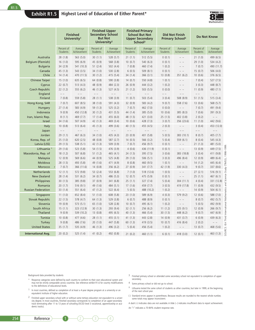#### **Exhibit R1.5 Highest Level of Education of Either Parent\***



|                           |                        | <b>Finished</b><br>University <sup>1</sup> | <b>Finished Upper</b><br><b>Secondary School</b><br><b>But Not</b><br>University <sup>2</sup> |                        |                        | <b>Finished Primary</b><br><b>School But Not</b><br><b>Upper Secondary</b><br>School <sup>3</sup> |                               | <b>Did Not Finish</b><br><b>Primary School</b> <sup>4</sup> |                          | <b>Do Not Know</b>     |
|---------------------------|------------------------|--------------------------------------------|-----------------------------------------------------------------------------------------------|------------------------|------------------------|---------------------------------------------------------------------------------------------------|-------------------------------|-------------------------------------------------------------|--------------------------|------------------------|
|                           | Percent of<br>Students | Average<br>Achievement                     | Percent of<br>Students                                                                        | Average<br>Achievement | Percent of<br>Students | Average<br>Achievement                                                                            | Percent of<br><b>Students</b> | Average<br>Achievement                                      | Percent of<br>Students   | Average<br>Achievement |
| Australia                 | 28 (1.8)               | 563 (5.0)                                  | 30(1.1)                                                                                       | 528 (5.7)              | 21(1.1)                | 512 (5.5)                                                                                         | 0(0.1)                        | $\sim~\sim$                                                 | 21(1.0)                  | 499 (6.5)              |
| Belgium (Flemish)         | 16(1.0)                | 595 (6.9)                                  | 45 (0.9)                                                                                      | 568 (3.8)              | 10(0.7)                | 540 (6.3)                                                                                         | 0(0.1)                        | $\sim~\sim$                                                 | 29(1.0)                  | 534 (4.2)              |
| <b>Bulgaria</b>           | 34 (2.9)               | 541 (10.3)                                 | 51(2.4)                                                                                       | 502 (4.4)              | 7(0.8)                 | 460 (7.4)                                                                                         | 1(0.2)                        | $\sim~\sim$                                                 | 7(0.7)                   | 490 (11.7)             |
| Canada                    | 45(1.3)                | 543 (3.5)                                  | 34(1.0)                                                                                       | 530 (2.8)              | 6(0.5)                 | 509(8.1)                                                                                          | 0(0.1)                        | $\sim~\sim$                                                 | 15(0.7)                  | 506 (4.0)              |
| Chile                     | 14(1.4)                | 470 (11.5)                                 | 30(1.2)                                                                                       | 415 (5.4)              | 34(1.4)                | 366(3.1)                                                                                          | 13(0.8)                       | 351 (6.2)                                                   | 10(0.6)                  | 376 (6.5)              |
| <b>Chinese Taipei</b>     | 15(1.0)                | 635 (6.5)                                  | 64(0.8)                                                                                       | 590 (3.8)              | 14(0.7)                | 550 (4.8)                                                                                         | 1(0.1)                        | $\sim$ $\sim$                                               | 7(0.4)                   | 527 (7.5)              |
| Cyprus                    | 22(0.7)                | 513 (4.3)                                  | 48 (0.9)                                                                                      | 484 (2.3)              | 26(0.9)                | 444 (3.2)                                                                                         | 1(0.2)                        | $\sim~\sim$                                                 | 3(0.3)                   | 448 (8.7)              |
| <b>Czech Republic</b>     | 22(1.2)                | 555 (6.2)                                  | 46(1.3)                                                                                       | 527 (4.5)              | 21(1.2)                | 503(5.5)                                                                                          | 0(0.0)                        | $\sim~\sim$                                                 | 11(0.9)                  | 480 (7.1)              |
| England                   | $- -$                  | $-$                                        | $\frac{1}{2}$                                                                                 | $-$                    | $-$                    | $-$                                                                                               | $=$ $-$                       | $-$                                                         | $-$                      | $-$                    |
| Finland                   | 7(0.8)                 | 559 (5.8)                                  | 28(1.1)                                                                                       | 538 (3.9)              | 11(0.7)                | 503 (5.4)                                                                                         | 3(0.4)                        | 508 (8.9)                                                   | 51(1.5)                  | 515 (3.4)              |
| Hong Kong, SAR            | 7(0.7)                 | 607(8.5)                                   | 38(1.0)                                                                                       | 591 (4.3)              | 32(0.9)                | 583 (4.2)                                                                                         | 9(0.7)                        | 558 (7.6)<br>$\sim~\sim$                                    | 13(0.6)                  | 568 (5.7)              |
| Hungary<br>Indonesia      | 27(1.4)<br>9(0.9)      | 583 (4.9)<br>450 (12.8)                    | 59(1.3)<br>30(1.2)                                                                            | 525 (3.2)<br>431 (5.5) | 7(0.7)<br>44 (1.4)     | 462 (7.0)<br>385 (5.0)                                                                            | 0(0.0)<br>10(0.6)             | 385 (8.3)                                                   | 7(0.7)<br>7(0.6)         | 491 (9.4)<br>391 (9.3) |
| Iran, Islamic Rep.        | 8(1.1)                 | 469 (7.7)                                  | 17(1.4)                                                                                       | 455 (6.0)              | 48 (1.5)               | 421 (3.0)                                                                                         | 25(1.5)                       | 402 (3.8)                                                   | 2(0.2)                   | $\sim$ $\sim$          |
| Israel                    | 34(1.6)                | 507 (4.9)                                  | 42 (1.3)                                                                                      | 469 (3.4)              | 10(0.6)                | 428 (7.3)                                                                                         | 3(0.7)                        | 356 (23.6)                                                  | 11(1.0)                  | 442 (9.6)              |
| Italy                     | 10(0.8)                | 513 (6.4)                                  | 45(1.3)                                                                                       | 499 (3.6)              | 40(1.5)                | 455 (4.5)                                                                                         | 2(0.3)                        | $\sim~\sim$                                                 | 3(0.4)                   | 453 (12.0)             |
| Japan                     | $-$                    | $-$                                        | $\hspace{0.1cm} - \hspace{0.1cm} - \hspace{0.1cm}$                                            | $-$                    | $ -$                   | $ -$                                                                                              | $\overline{\phantom{m}}$      | $-$                                                         | $\overline{\phantom{m}}$ | $-$                    |
| Jordan                    | 29(1.1)                | 467 (6.3)                                  | 34(1.0)                                                                                       | 435 (4.3)              | 23(0.9)                | 401 (5.8)                                                                                         | 5(0.5)                        | 383 (10.1)                                                  | 8(0.7)                   | 405 (7.7)              |
| Korea, Rep. of            | 25(1.0)                | 620(2.5)                                   | 48 (0.8)                                                                                      | 587 (2.7)              | 14(0.5)                | 566 (3.2)                                                                                         | 5(0.4)                        | 559 (6.1)                                                   | 8(0.4)                   | 545 (4.3)              |
| Latvia (LSS)              | 29(1.5)                | 538 (5.1)                                  | 42(1.3)                                                                                       | 509 (3.9)              | 7(0.7)                 | 456 (9.7)                                                                                         | 0(0.1)                        | $\sim~\sim$                                                 | 21(1.3)                  | 481 (5.0)              |
| Lithuania                 | 29(1.6)                | 523 (5.8)                                  | 54(1.5)                                                                                       | 476 (3.9)              | 4(0.6)                 | 436 (11.9)                                                                                        | 0(0.1)                        | $\sim~\sim$                                                 | 13(0.9)                  | $-1999.$<br>449 (7.5)  |
| Macedonia, Rep. of        | 18(1.2)                | 507(6.8)                                   | 51(1.2)                                                                                       | 465 (4.1)              | 24(1.5)                | 395 (7.5)                                                                                         | 3(0.6)                        | 383 (18.8)                                                  | 3(0.4)                   | 1998<br>411 (9.8)      |
| Malaysia                  | 12(0.9)                | 569 (6.6)                                  | 44 (0.9)                                                                                      | 525 (4.8)              | 29(1.0)                | 506(5.1)                                                                                          | 3(0.3)                        | 496 (8.4)                                                   | 12(0.9)                  | 489 (6.4)              |
| Moldova                   | 28(1.5)                | 493 (5.8)                                  | 49 (1.6)                                                                                      | 471 (4.9)              | 8(0.8)                 | 460 (9.5)                                                                                         | 1(0.1)                        | $\sim~\sim$                                                 | 14(1.2)                  | (TIMSS).<br>445 (6.4)  |
| Morocco<br>$\mathsf{r}$   | 7(0.7)                 | 366 (11.6)                                 | 14(0.8)                                                                                       | 356 (6.2)              | 27(0.9)                | 341 (7.7)                                                                                         | 42 (1.9)                      | 330(4.3)                                                    | 9(0.7)                   | 337 (8.6)              |
| Netherlands               | 12(1.1)                | 572 (9.8)                                  | 53 $(2.4)$                                                                                    | 553 (6.8)              | 7(1.0)                 | 518 (12.6)                                                                                        | 1(0.5)                        | $\sim~\sim$                                                 | 27(2.1)                  | ÷<br>516 (9.1)         |
| <b>New Zealand</b>        | 28 (1.4)               | 531 (6.2)                                  | 34(0.7)                                                                                       | 486 (5.3)              | 12(0.7)                | 475 (5.9)                                                                                         | 0(0.1)                        | $\sim~\sim$                                                 | 25(1.1)                  | 467 (6.1)<br>Y         |
| Philippines<br>Romania    | 30(1.5)                | 385 (9.8)<br>516 (9.1)                     | 37(0.9)                                                                                       | 341 (6.8)<br>484 (5.1) | 25(1.1)                | 327 (7.4)<br>459 (7.7)                                                                            | 5(0.4)                        | 304 (11.1)                                                  | 4(0.4)                   | 331 (12.8)             |
| <b>Russian Federation</b> | 20(1.7)<br>33(1.4)     | 551 (6.4)                                  | 49 (1.6)<br>47(1.2)                                                                           | 522 (6.4)              | 17(1.6)<br>5(0.5)      | 488 (10.2)                                                                                        | 3(0.5)<br>1(0.2)              | 419 (17.8)<br>$\sim~\sim$                                   | 11(0.9)<br>14(0.9)       | 432 (9.5)<br>504(6.1)  |
| Singapore                 | 11(1.0)                | 652 (8.4)                                  | 51(1.0)                                                                                       | 608 (5.8)              | 23(1.0)                | 589 (6.9)                                                                                         | 4(0.3)                        | 579 (9.2)                                                   | 12(0.6)                  | 588 (7.0)              |
| <b>Slovak Republic</b>    | 22(1.5)                | 578 (4.7)                                  | 64 (1.3)                                                                                      | 529 (3.8)              | 6(0.7)                 | 488 (8.9)                                                                                         | 0(0.1)                        | $\sim$ $\sim$                                               | 8(0.7)                   | Math<br>492 (5.7)      |
| Slovenia                  | 19(0.9)                | 573 (5.1)                                  | 65 (1.0)                                                                                      | 528 (2.8)              | 10(0.7)                | 495 (6.1)                                                                                         | 1(0.2)                        | $\sim~\sim$                                                 | 5(0.5)                   | 흐<br>492 (9.9)         |
| South Africa              | 15(1.1)                | 323 (12.9)                                 | 30(1.3)                                                                                       | 293 (9.4)              | 32(1.1)                | 256 (6.2)                                                                                         | 11(1.2)                       | 225 (9.1)                                                   | 12(0.9)                  | 266 (9.7)              |
| Thailand                  | 9(0.9)                 | 539 (10.2)                                 | 13(0.8)                                                                                       | 495 (6.5)              | 40(1.3)                | 466 (5.4)                                                                                         | 30(1.5)                       | 448 (6.2)                                                   | 9(0.7)                   | Inter<br>447 (6.9)     |
| Tunisia                   | 10(0.8)                | 477 (4.6)                                  | 28(1.1)                                                                                       | 455 (3.1)              | 41(1.3)                | 443 (2.8)                                                                                         | 14(0.9)                       | 431 (3.7)                                                   | 6(0.9)                   | Third<br>439 (6.3)     |
| Turkey                    | 9(0.8)                 | 486 (7.6)                                  | 20(1.0)                                                                                       | 447 (5.8)              | 60(1.3)                | 419 (3.5)                                                                                         | 10(0.7)                       | 416 (8.4)                                                   | 2(0.2)                   | $\sim~\sim$<br>IEA     |
| <b>United States</b>      | 35(1.7)                | 535 (4.9)                                  | 46 (1.3)                                                                                      | 496 (3.2)              | 5(0.4)                 | 456 (5.4)                                                                                         | 1(0.2)                        | $\sim~\sim$                                                 | 13(0.7)                  | 468 (5.6)<br>Φ         |
| <b>International Avg.</b> | 20(0.2)                | 525 (1.4)                                  | 41(0.2)                                                                                       | 492 (0.8)              | 21(0.2)                | 460 (1.1)                                                                                         | 6(0.1)                        | 418 (3.0)                                                   | 12(0.1)                  | OUR<br>463 (1.3)       |

Background data provided by students

- \* Response categories were defined by each country to conform to their own educational system and may not be strictly comparable across countries. See reference exhibit R1.6 for country modifications to the definitions of educational levels.
- $1$  In most countries, defined as completion of at least a 4-year degree program at a university or an equivalent institute of higher education.
- <sup>2</sup> Finished upper secondary school with or without some tertiary education not equivalent to a univer-<br>sity degree. In most countries, finished secondary corresponds to completion of an upper-secondary<br>track terminating a demic tracks).
- 3 Finished primary school or attended some secondary school not equivalent to completion of upper secondary.
- 4 Some primary school or did not go to school.
- ‡ Lithuania tested the same cohort of students as other countries, but later in 1999, at the beginning of the next school year.
- ( ) Standard errors appear in parentheses. Because results are rounded to the nearest whole number, some totals may appear inconsistent.
- A dash (–) indicates data are not available. A tilde (~) indicates insufficient data to report achievement.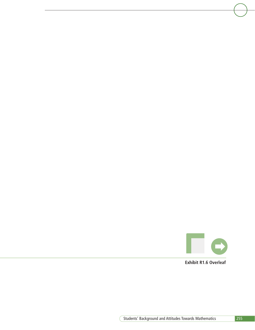

**Exhibit R1.6 Overleaf**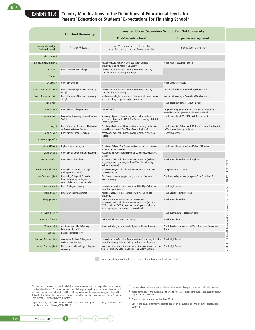# **Exhibit R1.6 Country Modifications to the Definitions of Educational Levels for Parents' Education or Students' Expectations for Finishing School\***

|                                         | <b>Finished University</b>                                                                                 |                                                                                                                                                                                                                         | <b>Finished Upper Secondary School But Not University</b>                                              |                                                   |  |
|-----------------------------------------|------------------------------------------------------------------------------------------------------------|-------------------------------------------------------------------------------------------------------------------------------------------------------------------------------------------------------------------------|--------------------------------------------------------------------------------------------------------|---------------------------------------------------|--|
|                                         |                                                                                                            | <b>Post-Secondary Level</b>                                                                                                                                                                                             | Upper-Secondary Level <sup>1</sup>                                                                     |                                                   |  |
| Internationally<br><b>Defined Level</b> | <b>Finished University</b>                                                                                 | Some Vocational-Technical Education<br>After Secondary School or Some University                                                                                                                                        | Finished Secondary School                                                                              |                                                   |  |
| Australia §                             |                                                                                                            |                                                                                                                                                                                                                         |                                                                                                        |                                                   |  |
| Belgium (Flemish) §                     |                                                                                                            | Post-Secondary Tertiary Higher Education Outside<br>University or Some Years of University                                                                                                                              | Finish Higher Secondary School                                                                         |                                                   |  |
| Canada                                  | Finish University or College                                                                               | Some Vocational-Technical Education After Secondary<br>School or Some University or College                                                                                                                             |                                                                                                        |                                                   |  |
| Chile                                   |                                                                                                            |                                                                                                                                                                                                                         |                                                                                                        |                                                   |  |
| Cyprus §                                | <b>University Degree</b>                                                                                   |                                                                                                                                                                                                                         | Finish Upper Secondary                                                                                 |                                                   |  |
| Czech Republic (P) §‡                   | Finish University (4-5 years university<br>study)                                                          | Some Vocational-Technical Education After Secondary<br>School or Some University                                                                                                                                        | Vocational Training or Secondary With Maturita                                                         |                                                   |  |
| Czech Republic (S)                      | Finish University (4-5 years university<br>study)                                                          | Medium-cycle higher education or bachelor studies (3 years<br>university study or special higher education)                                                                                                             | Vocational Training or Secondary With Maturita                                                         |                                                   |  |
| Finland                                 |                                                                                                            |                                                                                                                                                                                                                         | Finish secondary school (about 12 years)                                                               |                                                   |  |
| Hungary §                               | University or College Degree                                                                               | Not Included                                                                                                                                                                                                            | Apprenticeship (3-year trade school) or Final Exam in<br>Secondary School (4-year academic/vocational) |                                                   |  |
| Indonesia                               | Completed University Degree (Sarjana<br>$1/2/3$ )                                                          | Academy (3 years or less of higher education outside<br>university - Diploma D1/D2/D3) or Some University (Did Not<br>Complete Degree)                                                                                  | Finish Secondary (SMP, SMA, SMEA, STM, etc.)                                                           |                                                   |  |
| Italy §                                 | Finish University (Laurea or Dottorato<br>di Ricerca; 4-6 Year Diploma)                                    | Vocational/Professional Course After Secondary Diploma or<br>Some University (2-3 Year Short-Course Diploma)                                                                                                            | Finish Secondary School With Maturita (Classical/Technical)<br>or Vocational Training Diploma          |                                                   |  |
| Japan $(S)$ 3                           | University or Graduate School                                                                              | Vocational/Technical Education After Secondary or 2-year<br>college                                                                                                                                                     | Upper secondary                                                                                        |                                                   |  |
| Korea, Rep. of §                        |                                                                                                            |                                                                                                                                                                                                                         |                                                                                                        |                                                   |  |
| Latvia (LSS) §                          | Higher Education (5 years)                                                                                 | Vocational School (Post-Secondary) or Technikum (3 years)<br>or Some Higher Education                                                                                                                                   | Finish Secondary or Vocational School (11 years)                                                       |                                                   |  |
| Lithuania §                             | University or Other Higher Education                                                                       | Vocational or Agricultural School or College (Technical, Art,<br>Music)                                                                                                                                                 |                                                                                                        |                                                   |  |
| Netherlands                             | University With Diploma                                                                                    | Vocational/Technical Education After Secondary (bv.heao,<br>hts, pedagogical academy) or Some Years At University<br>(Without Diploma)                                                                                  | Finish Secondary School With Diploma                                                                   |                                                   |  |
| New Zealand (P) $\pm$                   | University or Teachers' College<br>(College of Education)                                                  | Vocational/Polytechnic Education After Secondary School or<br>Some University                                                                                                                                           | Complete Form 6 or Form 7                                                                              |                                                   |  |
| New Zealand (S) $§$                     | University, College of Education<br>(teacher training) or degree or<br>national diploma course at polytech | Certificate course at polytech (e.g, trade certificate) or<br>some university                                                                                                                                           | Finish secondary school (complete Form 6 or Form 7)                                                    |                                                   |  |
| Philippines §                           | Finish College/University                                                                                  | Some Vocational/Technical Education After High School or<br>Some College/University                                                                                                                                     | Finish High School                                                                                     |                                                   |  |
| Romania §                               | Finish University (facultate)                                                                              | Post-Secondary Technical School or Did Not Complete<br>University                                                                                                                                                       | Finish Senior Secondary (liceu)                                                                        |                                                   |  |
| Singapore §                             |                                                                                                            | Finish JC/Pre-U or Polytechnic or Some Other<br>Vocational/Technical Education After Secondary (e.g., ITE,<br>VITB)' [includes GCE 'A' level, which is 2 years additional<br>schooling beyond completion of secondary.] | Finish Secondary School                                                                                | Mathematics and Science Study (TIMSS), 1998-1999. |  |
| Slovenia $(S)$ $*$                      |                                                                                                            |                                                                                                                                                                                                                         | Finish gymnasium or secondary school                                                                   |                                                   |  |
| South Africa §                          |                                                                                                            | Finish Technikon or Some University                                                                                                                                                                                     | Finish Secondary                                                                                       |                                                   |  |
| Thailand §                              | Graduate level (Finish Tertiary<br>Education, 4 years)                                                     | Diploma/Undergraduate Level (higher certificate, 2 years)                                                                                                                                                               | Finish Academic or Vocational/Technical Upper-Secondary<br>Track                                       | SOURCE: IEA Third International                   |  |
| Tunisia                                 | Bachelor's Degree (BA)                                                                                     |                                                                                                                                                                                                                         |                                                                                                        |                                                   |  |
| United States (P) #                     | Completed Bachelor's Degree at<br>College or University                                                    | Some Vocational-Technical Education After Secondary School or<br>Some Community College, College or University Courses                                                                                                  | Finish High School                                                                                     |                                                   |  |
| United States (S) $§$                   | Finish community college, college or<br>university                                                         | Some Vocational-Technical Education After Secondary School or<br>Some Community College, College or University Courses                                                                                                  | Finish High School                                                                                     |                                                   |  |

National educational level is the same as the internationally-defined level

- \* Educational levels were translated and defined in most countries to be comparable to the internationally-defined levels. Countries that used modified response options to conform to their national education systems are indicated to aid in the interpretation of the reporting categories in exhibits 4.4 and R1.5. National modifications pertain to both the parents' education and students' expectations questions unless otherwise indicated.
- 1 Upper-secondary corresponds to ISCED level 3 tracks terminating after 11 to 13 years in most countries. (Education at a Glance, OECD, 1995.)
- 2 Primary school or lower educational levels were included only in the parents' education question.
- 3 Japan administered the question pertaining to students' expectations but not the question pertaining to parents' education.
- § Some educational levels modified from 1995.
- ‡ Educational levels differ for the parents' education (P) question and the students' expectations (S) question.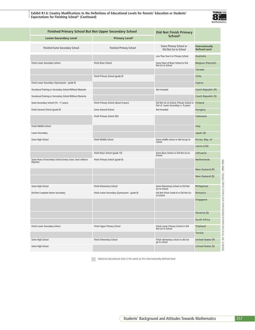**Exhibit R1.6: Country Modifications to the Definitions of Educational Levels for Parents' Education or Students' Expectations for Finishing School\* (Continued)**



| <b>Lower-Secondary Level</b><br>Finished Some Secondary School      |                                               | <b>Did Not Finish Primary</b>                                                          |                                         |
|---------------------------------------------------------------------|-----------------------------------------------|----------------------------------------------------------------------------------------|-----------------------------------------|
|                                                                     | <b>Primary Level<sup>2</sup></b>              | School <sup>2</sup>                                                                    |                                         |
|                                                                     | <b>Finished Primary School</b>                | Some Primary School or<br>Did Not Go to School                                         | Internationally<br><b>Defined Level</b> |
|                                                                     |                                               | Less Than Year 6 in Primary School                                                     | Australia                               |
| Finish Lower Secondary School                                       | Finish Basic School                           | Some Years of Basic School or Did<br>Not Go to School                                  | <b>Belgium (Flemish)</b>                |
|                                                                     |                                               |                                                                                        | Canada                                  |
|                                                                     | Finish Primary School (grade 8)               |                                                                                        | Chile                                   |
| Finish Lower Secondary (Gymnasium - grade 9)                        |                                               |                                                                                        | Cyprus                                  |
| Vocational Training or Secondary School Without Maturita            |                                               | Not Included                                                                           | Czech Republic (P)                      |
| Vocational Training or Secondary School Without Maturita            |                                               |                                                                                        | Czech Republic (S)                      |
| Some Secondary School (10 - 11 years)                               | Finish Primary School (about 9 years)         | Did Not Go to School, Primary School or Finland<br>Part of Lower Secondary (< 9 years) |                                         |
| Finish General School (grade 8)                                     | Some General School                           | Not Included                                                                           | Hungary                                 |
|                                                                     | Finish Primary School (SD)                    |                                                                                        | Indonesia                               |
| Finish Middle School                                                |                                               |                                                                                        | Italy                                   |
| Lower Secondary                                                     |                                               |                                                                                        | Japan (S)                               |
| Some High School                                                    | Finish Middle School                          | Some middle school or did not go to<br>school                                          | Korea, Rep. of                          |
|                                                                     |                                               |                                                                                        | Latvia (LSS)                            |
|                                                                     | Finish Basic School (grade 10)                | Some Basic School or Did Not Go to<br>School                                           | Lithuania                               |
| Some Years of Secondary School (mavo, havo, vwo) without<br>Diploma | Finish Primary School (grade 8)               |                                                                                        | Netherlands                             |
|                                                                     |                                               |                                                                                        | New Zealand (P)                         |
|                                                                     |                                               |                                                                                        | New Zealand (S)                         |
| Some High School                                                    | Finish Elementary School                      | Some Elementary School or Did Not<br>Go to School                                      | Philippines                             |
| Did Not Complete Senior Secondary                                   | Finish Junior Secondary (Gymnasium - grade 8) | Did Not Finish Grade 8 or Did Not Go<br>to School                                      | Romania                                 |
|                                                                     |                                               |                                                                                        | Singapore                               |
|                                                                     |                                               |                                                                                        |                                         |
|                                                                     |                                               |                                                                                        | Slovenia (S)                            |
|                                                                     |                                               |                                                                                        | South Africa                            |
| Finish Lower Secondary School                                       | Finish Upper Primary School                   | Finish Lower Primary School or Did                                                     | Thailand                                |
|                                                                     |                                               |                                                                                        | Tunisia                                 |
| Some High School                                                    | Finish Elementary School                      | Finish elementary school or did not                                                    | United States (P)                       |
| Some High School                                                    |                                               |                                                                                        | United States (S)                       |
|                                                                     |                                               | Not Go to School<br>go to school                                                       |                                         |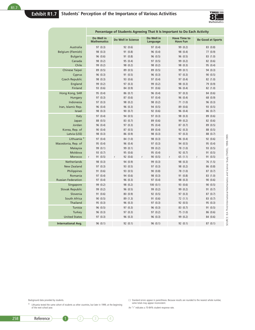## **Exhibit R1.7 Students' Perception of the Importance of Various Activities**



|                              |                                  |                    | Percentage of Students Agreeing That It Is Important to Do Each Activity |                                        |                          |  |  |  |
|------------------------------|----------------------------------|--------------------|--------------------------------------------------------------------------|----------------------------------------|--------------------------|--|--|--|
|                              | Do Well in<br><b>Mathematics</b> | Do Well in Science | Do Well in<br>Language                                                   | <b>Have Time to</b><br><b>Have Fun</b> | <b>Be Good at Sports</b> |  |  |  |
| Australia                    | 97(0.3)                          | 92(0.6)            | 97(0.4)                                                                  | 99 (0.2)                               | 83 (0.8)                 |  |  |  |
| <b>Belgium (Flemish)</b>     | 98 (0.3)                         | 91 (0.8)           | 96(0.4)                                                                  | 98 (0.4)                               | 77 (0.9)                 |  |  |  |
| <b>Bulgaria</b>              | 96 (0.6)                         | 91 (0.8)           | 96 (0.5)                                                                 | 96(0.5)                                | 83 (1.0)                 |  |  |  |
| Canada                       | 98 (0.2)                         | 95 (0.4)           | 97 (0.5)                                                                 | 99 (0.2)                               | 82 (0.6)                 |  |  |  |
| Chile                        | 99 (0.2)                         | 98 (0.2)           | 98 (0.2)                                                                 | 98 (0.3)                               | 95 (0.4)                 |  |  |  |
| <b>Chinese Taipei</b>        | 89 (0.5)                         | 89 (0.5)           | 89 (0.5)                                                                 | 99 (0.1)                               | 94 (0.3)                 |  |  |  |
| Cyprus                       | 96(0.3)                          | 91(0.5)            | 96(0.3)                                                                  | 97 (0.3)                               | 90(0.5)                  |  |  |  |
| <b>Czech Republic</b>        | 98 (0.3)                         | 93 (0.6)           | 97(0.4)                                                                  | 97 (0.4)                               | 82 (1.0)                 |  |  |  |
| England                      | 99 (0.2)                         | 97(0.3)            | 99 (0.2)                                                                 | 98 (0.3)                               | 79 (0.9)                 |  |  |  |
| Finland                      | 93 (0.6)                         | 84 (0.9)           | 91 (0.6)                                                                 | 96 (0.4)                               | 82 (1.0)                 |  |  |  |
| Hong Kong, SAR               | 95 (0.4)                         | 86(0.7)            | 96 (0.4)                                                                 | 97 (0.3)                               | 84 (0.6)                 |  |  |  |
| Hungary                      | 97(0.3)                          | 87(0.6)            | 97 (0.4)                                                                 | 96 (0.4)                               | 68 (0.9)                 |  |  |  |
| Indonesia                    | 97(0.3)                          | 98 (0.2)           | 98 (0.2)                                                                 | 71(1.0)                                | 96 (0.3)                 |  |  |  |
| Iran, Islamic Rep.<br>Israel | 96 (0.4)<br>98 (0.3)             | 96(0.3)<br>90(0.7) | 94 (0.5)<br>92 (0.6)                                                     | 89 (0.6)<br>96 (0.4)                   | 93 (0.5)<br>86 (0.7)     |  |  |  |
| Italy                        | 97 (0.4)                         | 94 (0.5)           | 97 (0.3)                                                                 | 98 (0.3)                               | 89 (0.6)                 |  |  |  |
| Japan                        | 88 (0.5)                         | 83 (0.7)           | 89 (0.6)                                                                 | 99 (0.2)                               | 82 (0.6)                 |  |  |  |
| Jordan                       | 96 (0.4)                         | 97(0.3)            | 95 (0.4)                                                                 | 87(0.7)                                | 89 (0.5)                 |  |  |  |
| Korea, Rep. of               | 90(0.4)                          | 87(0.5)            | 89 (0.4)                                                                 | 92(0.3)                                | 88 (0.5)                 |  |  |  |
| Latvia (LSS)                 | 98 (0.3)                         | 86 (0.9)           | 98 (0.3)                                                                 | 97 (0.3)                               | 88 (0.7)                 |  |  |  |
| Lithuania <sup>#</sup>       | 97 (0.4)                         | 84 (1.0)           | 98 (0.3)                                                                 | 96 (0.4)                               | 92 (0.6)                 |  |  |  |
| Macedonia, Rep. of           | 95 (0.4)                         | 96 (0.4)           | 97(0.3)                                                                  | 94 (0.5)                               | 95 (0.4)                 |  |  |  |
| Malaysia                     | 99 (0.1)                         | 99 (0.1)           | 99 (0.2)                                                                 | 78 (1.0)                               | 93 (0.5)                 |  |  |  |
| Moldova                      | 93 (0.7)                         | 95 (0.6)           | 95 (0.4)                                                                 | 92 (0.7)                               | 91 (0.5)                 |  |  |  |
| Morocco                      | 91(0.5)<br>r                     | 92(0.6)<br>r       | 90(0.5)<br>r                                                             | 65 (1.1)<br>r                          | 91 (0.5)                 |  |  |  |
| Netherlands                  | 98 (0.3)                         | 94 (0.9)           | 99 (0.3)                                                                 | 98 (0.3)                               | 76 (1.5)                 |  |  |  |
| <b>New Zealand</b>           | 97 (0.3)                         | 93 (0.5)           | 97(0.3)                                                                  | 98 (0.2)                               | 86 (0.8)                 |  |  |  |
| Philippines                  | 91 (0.6)                         | 93 (0.5)           | 90(0.8)                                                                  | 78 (1.0)                               | 87(0.7)                  |  |  |  |
| Romania                      | 97(0.4)                          | 94 (0.6)           | 98 (0.3)                                                                 | 91(0.8)                                | 83 (1.0)                 |  |  |  |
| <b>Russian Federation</b>    | 97 (0.4)                         | 96(0.3)            | 97 (0.4)                                                                 | 98 (0.3)                               | 90 (0.6)                 |  |  |  |
| Singapore                    | 99 (0.2)                         | 98 (0.2)           | 100(0.1)                                                                 | 93 (0.6)                               | 90(0.5)                  |  |  |  |
| <b>Slovak Republic</b>       | 99 (0.2)                         | 96(0.5)            | 99 (0.2)                                                                 | 99 (0.2)                               | 91(0.7)                  |  |  |  |
| Slovenia                     | 91(0.6)                          | 80(0.9)            | 92 (0.5)                                                                 | 97 (0.3)                               | 87(0.7)                  |  |  |  |
| South Africa<br>Thailand     | 90(0.5)<br>95(0.3)               | 89(1.3)<br>96(0.3) | 91(0.6)<br>97(0.3)                                                       | 72(1.1)<br>92 (0.5)                    | 83 (0.7)<br>95 (0.3)     |  |  |  |
| <b>Tunisia</b>               | 96(0.5)                          | 97(0.3)            | 96(0.3)                                                                  | 83 (0.7)                               | 91(0.5)                  |  |  |  |
| Turkey                       | 96(0.3)                          | 97(0.3)            | 97(0.2)                                                                  | 75 (1.0)                               | 86 (0.6)                 |  |  |  |
| <b>United States</b>         | 97 (0.3)                         | 96 (0.3)           | 96 (0.3)                                                                 | 99 (0.2)                               | 84 (0.6)                 |  |  |  |
|                              |                                  |                    |                                                                          |                                        |                          |  |  |  |
| <b>International Avg.</b>    | 96(0.1)                          | 92(0.1)            | 96(0.1)                                                                  | 92(0.1)                                | 87(0.1)                  |  |  |  |

Background data provided by students.

‡ Lithuania tested the same cohort of students as other countries, but later in 1999, at the beginning of the next school year.

( ) Standard errors appear in parentheses. Because results are rounded to the nearest whole number, some totals may appear inconsistent.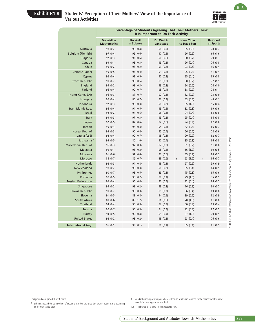# **Exhibit R1.8 Students' Perception of Their Mothers' View of the Importance of Various Activities**



R1.8

| Do Well<br><b>Be Good</b><br>Do Well in<br><b>Have Time</b><br>Do Well in<br>in Science<br>at Sports<br><b>Mathematics</b><br>to Have Fun<br>Language<br>Australia<br>98 (0.2)<br>96 (0.4)<br>95 (0.5)<br>78 (0.7)<br>98 (0.3)<br><b>Belgium (Flemish)</b><br>97 (0.4)<br>92 (0.6)<br>97 (0.5)<br>96 (0.5)<br>66 (1.6)<br><b>Bulgaria</b><br>97 (0.3)<br>92 (0.6)<br>96 (0.6)<br>90(0.7)<br>79 (1.3)<br>99 (0.2)<br>Canada<br>99 (0.1)<br>98 (0.3)<br>96 (0.4)<br>76 (0.8)<br>Chile<br>95 (0.4)<br>99 (0.2)<br>98 (0.2)<br>99 (0.2)<br>93 (0.5)<br>Chinese Taipei<br>95 (0.5)<br>95 (0.4)<br>93 (0.4)<br>95 (0.3)<br>91 (0.4)<br>96 (0.4)<br>92 (0.5)<br>97 (0.3)<br>95 (0.4)<br>85 (0.8)<br>Cyprus<br><b>Czech Republic</b><br>99 (0.2)<br>96 (0.5)<br>99 (0.3)<br>90(0.7)<br>72(1.1)<br>England<br>99 (0.2)<br>98 (0.3)<br>99 (0.2)<br>94 (0.5)<br>74 (1.0)<br>Finland<br>96 (0.4)<br>90(0.7)<br>95 (0.4)<br>88 (0.7)<br>74 (1.1)<br>Hong Kong, SAR<br>96 (0.3)<br>87(0.7)<br>97 (0.3)<br>82 (0.7)<br>73 (0.9)<br>86 (0.7)<br>97 (0.4)<br>97(0.3)<br>83 (0.8)<br>46 (1.1)<br>Hungary<br>Indonesia<br>97 (0.3)<br>98 (0.3)<br>98 (0.2)<br>65 (1.0)<br>95 (0.4)<br>Iran, Islamic Rep.<br>94 (0.4)<br>94 (0.5)<br>93 (0.5)<br>82 (0.8)<br>89 (0.6)<br>96 (0.3)<br>Israel<br>98 (0.2)<br>94 (0.5)<br>94 (0.4)<br>83 (0.8)<br><b>Italy</b><br>99 (0.3)<br>97 (0.3)<br>99 (0.2)<br>95 (0.4)<br>84 (0.8)<br>Japan<br>92 (0.5)<br>87 (0.6)<br>92 (0.5)<br>94 (0.4)<br>82 (0.6)<br>96 (0.3)<br>Jordan<br>95 (0.4)<br>95 (0.5)<br>82 (0.8)<br>86 (0.7)<br>90 (0.4)<br>92 (0.4)<br>78 (0.6)<br>Korea, Rep. of<br>95 (0.3)<br>66 (0.7)<br>Latvia (LSS)<br>98 (0.4)<br>90(0.7)<br>98 (0.3)<br>90(0.7)<br>82 (0.7)<br>Lithuania <sup>+</sup><br>95 (0.5)<br>80(1.0)<br>97 (0.4)<br>85 (0.8)<br>86 (0.8)<br>Macedonia, Rep. of<br>97 (0.3)<br>96(0.3)<br>97 (0.3)<br>91(0.7)<br>91 (0.6)<br>Malaysia<br>99 (0.1)<br>98 (0.2)<br>98 (0.2)<br>66 (1.2)<br>90(0.5)<br>Moldova<br>91 (0.6)<br>85 (0.9)<br>91 (0.6)<br>93 (0.6)<br>86 (0.7)<br>Morocco<br>88 (0.7)<br>86 (0.7)<br>88 (0.6)<br>53 (1.2)<br>86 (0.7)<br>$\mathsf r$<br>r<br>r<br>r<br>Netherlands<br>98 (0.3)<br>94 (0.8)<br>98 (0.3)<br>97 (0.5)<br>59 (1.9)<br><b>New Zealand</b><br>98 (0.2)<br>96 (0.3)<br>98 (0.2)<br>95 (0.4)<br>84 (0.9)<br>Philippines<br>90(0.7)<br>93 (0.5)<br>89 (0.8)<br>75 (0.8)<br>85 (0.6)<br>Romania<br>97(0.5)<br>96(0.7)<br>98 (0.4)<br>79 (1.0)<br>75 (1.5)<br><b>Russian Federation</b><br>96 (0.4)<br>97 (0.4)<br>86 (0.7)<br>96 (0.4)<br>92 (0.4)<br>Singapore<br>99 (0.2)<br>98 (0.2)<br>98 (0.2)<br>76 (0.9)<br>80(0.7)<br>Slovak Republic<br>99 (0.2)<br>98 (0.3)<br>99 (0.2)<br>96 (0.4)<br>89 (0.8)<br>Slovenia<br>91 (0.5)<br>83 (0.8)<br>94 (0.5)<br>89 (0.6)<br>82 (0.9)<br>South Africa<br>89 (0.6)<br>89 (1.2)<br>91 (0.6)<br>70(1.0)<br>81(0.8)<br>Thailand<br>94 (0.4)<br>96 (0.3)<br>97 (0.3)<br>80(0.7)<br>93 (0.4)<br>Tunisia<br>92(0.7)<br>96 (0.3)<br>94 (0.4)<br>72 (0.7)<br>87(0.5)<br>94 (0.5)<br>95 (0.4)<br>95 (0.4)<br>79 (0.9)<br>Turkey<br>67 (1.0)<br><b>United States</b><br>98 (0.2)<br>98 (0.2)<br>98 (0.2)<br>93 (0.4)<br>76 (0.6)<br><b>International Avg.</b><br>93 (0.1)<br>96 (0.1)<br>81(0.1)<br>96(0.1)<br>85(0.1) |  |  | Percentage of Students Agreeing That Their Mothers Think<br>It Is Important to Do Each Activity |  |
|------------------------------------------------------------------------------------------------------------------------------------------------------------------------------------------------------------------------------------------------------------------------------------------------------------------------------------------------------------------------------------------------------------------------------------------------------------------------------------------------------------------------------------------------------------------------------------------------------------------------------------------------------------------------------------------------------------------------------------------------------------------------------------------------------------------------------------------------------------------------------------------------------------------------------------------------------------------------------------------------------------------------------------------------------------------------------------------------------------------------------------------------------------------------------------------------------------------------------------------------------------------------------------------------------------------------------------------------------------------------------------------------------------------------------------------------------------------------------------------------------------------------------------------------------------------------------------------------------------------------------------------------------------------------------------------------------------------------------------------------------------------------------------------------------------------------------------------------------------------------------------------------------------------------------------------------------------------------------------------------------------------------------------------------------------------------------------------------------------------------------------------------------------------------------------------------------------------------------------------------------------------------------------------------------------------------------------------------------------------------------------------------------------------------------------------------------------------------------------------------------------------------------------------------------------------------------------------------------------------------------------------------------------------------------------------------------------------------------------------------------------------------------------------------------------------------------------------------------------------------------------------------------------------------------------------------------------------------------------------------------------------------------------------------------------------------------------------------------------------------------------------------------------------------------------------------------------------------------------------|--|--|-------------------------------------------------------------------------------------------------|--|
|                                                                                                                                                                                                                                                                                                                                                                                                                                                                                                                                                                                                                                                                                                                                                                                                                                                                                                                                                                                                                                                                                                                                                                                                                                                                                                                                                                                                                                                                                                                                                                                                                                                                                                                                                                                                                                                                                                                                                                                                                                                                                                                                                                                                                                                                                                                                                                                                                                                                                                                                                                                                                                                                                                                                                                                                                                                                                                                                                                                                                                                                                                                                                                                                                                          |  |  |                                                                                                 |  |
|                                                                                                                                                                                                                                                                                                                                                                                                                                                                                                                                                                                                                                                                                                                                                                                                                                                                                                                                                                                                                                                                                                                                                                                                                                                                                                                                                                                                                                                                                                                                                                                                                                                                                                                                                                                                                                                                                                                                                                                                                                                                                                                                                                                                                                                                                                                                                                                                                                                                                                                                                                                                                                                                                                                                                                                                                                                                                                                                                                                                                                                                                                                                                                                                                                          |  |  |                                                                                                 |  |
|                                                                                                                                                                                                                                                                                                                                                                                                                                                                                                                                                                                                                                                                                                                                                                                                                                                                                                                                                                                                                                                                                                                                                                                                                                                                                                                                                                                                                                                                                                                                                                                                                                                                                                                                                                                                                                                                                                                                                                                                                                                                                                                                                                                                                                                                                                                                                                                                                                                                                                                                                                                                                                                                                                                                                                                                                                                                                                                                                                                                                                                                                                                                                                                                                                          |  |  |                                                                                                 |  |
|                                                                                                                                                                                                                                                                                                                                                                                                                                                                                                                                                                                                                                                                                                                                                                                                                                                                                                                                                                                                                                                                                                                                                                                                                                                                                                                                                                                                                                                                                                                                                                                                                                                                                                                                                                                                                                                                                                                                                                                                                                                                                                                                                                                                                                                                                                                                                                                                                                                                                                                                                                                                                                                                                                                                                                                                                                                                                                                                                                                                                                                                                                                                                                                                                                          |  |  |                                                                                                 |  |
|                                                                                                                                                                                                                                                                                                                                                                                                                                                                                                                                                                                                                                                                                                                                                                                                                                                                                                                                                                                                                                                                                                                                                                                                                                                                                                                                                                                                                                                                                                                                                                                                                                                                                                                                                                                                                                                                                                                                                                                                                                                                                                                                                                                                                                                                                                                                                                                                                                                                                                                                                                                                                                                                                                                                                                                                                                                                                                                                                                                                                                                                                                                                                                                                                                          |  |  |                                                                                                 |  |
|                                                                                                                                                                                                                                                                                                                                                                                                                                                                                                                                                                                                                                                                                                                                                                                                                                                                                                                                                                                                                                                                                                                                                                                                                                                                                                                                                                                                                                                                                                                                                                                                                                                                                                                                                                                                                                                                                                                                                                                                                                                                                                                                                                                                                                                                                                                                                                                                                                                                                                                                                                                                                                                                                                                                                                                                                                                                                                                                                                                                                                                                                                                                                                                                                                          |  |  |                                                                                                 |  |
|                                                                                                                                                                                                                                                                                                                                                                                                                                                                                                                                                                                                                                                                                                                                                                                                                                                                                                                                                                                                                                                                                                                                                                                                                                                                                                                                                                                                                                                                                                                                                                                                                                                                                                                                                                                                                                                                                                                                                                                                                                                                                                                                                                                                                                                                                                                                                                                                                                                                                                                                                                                                                                                                                                                                                                                                                                                                                                                                                                                                                                                                                                                                                                                                                                          |  |  |                                                                                                 |  |
|                                                                                                                                                                                                                                                                                                                                                                                                                                                                                                                                                                                                                                                                                                                                                                                                                                                                                                                                                                                                                                                                                                                                                                                                                                                                                                                                                                                                                                                                                                                                                                                                                                                                                                                                                                                                                                                                                                                                                                                                                                                                                                                                                                                                                                                                                                                                                                                                                                                                                                                                                                                                                                                                                                                                                                                                                                                                                                                                                                                                                                                                                                                                                                                                                                          |  |  |                                                                                                 |  |
|                                                                                                                                                                                                                                                                                                                                                                                                                                                                                                                                                                                                                                                                                                                                                                                                                                                                                                                                                                                                                                                                                                                                                                                                                                                                                                                                                                                                                                                                                                                                                                                                                                                                                                                                                                                                                                                                                                                                                                                                                                                                                                                                                                                                                                                                                                                                                                                                                                                                                                                                                                                                                                                                                                                                                                                                                                                                                                                                                                                                                                                                                                                                                                                                                                          |  |  |                                                                                                 |  |
|                                                                                                                                                                                                                                                                                                                                                                                                                                                                                                                                                                                                                                                                                                                                                                                                                                                                                                                                                                                                                                                                                                                                                                                                                                                                                                                                                                                                                                                                                                                                                                                                                                                                                                                                                                                                                                                                                                                                                                                                                                                                                                                                                                                                                                                                                                                                                                                                                                                                                                                                                                                                                                                                                                                                                                                                                                                                                                                                                                                                                                                                                                                                                                                                                                          |  |  |                                                                                                 |  |
|                                                                                                                                                                                                                                                                                                                                                                                                                                                                                                                                                                                                                                                                                                                                                                                                                                                                                                                                                                                                                                                                                                                                                                                                                                                                                                                                                                                                                                                                                                                                                                                                                                                                                                                                                                                                                                                                                                                                                                                                                                                                                                                                                                                                                                                                                                                                                                                                                                                                                                                                                                                                                                                                                                                                                                                                                                                                                                                                                                                                                                                                                                                                                                                                                                          |  |  |                                                                                                 |  |
|                                                                                                                                                                                                                                                                                                                                                                                                                                                                                                                                                                                                                                                                                                                                                                                                                                                                                                                                                                                                                                                                                                                                                                                                                                                                                                                                                                                                                                                                                                                                                                                                                                                                                                                                                                                                                                                                                                                                                                                                                                                                                                                                                                                                                                                                                                                                                                                                                                                                                                                                                                                                                                                                                                                                                                                                                                                                                                                                                                                                                                                                                                                                                                                                                                          |  |  |                                                                                                 |  |
|                                                                                                                                                                                                                                                                                                                                                                                                                                                                                                                                                                                                                                                                                                                                                                                                                                                                                                                                                                                                                                                                                                                                                                                                                                                                                                                                                                                                                                                                                                                                                                                                                                                                                                                                                                                                                                                                                                                                                                                                                                                                                                                                                                                                                                                                                                                                                                                                                                                                                                                                                                                                                                                                                                                                                                                                                                                                                                                                                                                                                                                                                                                                                                                                                                          |  |  |                                                                                                 |  |
|                                                                                                                                                                                                                                                                                                                                                                                                                                                                                                                                                                                                                                                                                                                                                                                                                                                                                                                                                                                                                                                                                                                                                                                                                                                                                                                                                                                                                                                                                                                                                                                                                                                                                                                                                                                                                                                                                                                                                                                                                                                                                                                                                                                                                                                                                                                                                                                                                                                                                                                                                                                                                                                                                                                                                                                                                                                                                                                                                                                                                                                                                                                                                                                                                                          |  |  |                                                                                                 |  |
|                                                                                                                                                                                                                                                                                                                                                                                                                                                                                                                                                                                                                                                                                                                                                                                                                                                                                                                                                                                                                                                                                                                                                                                                                                                                                                                                                                                                                                                                                                                                                                                                                                                                                                                                                                                                                                                                                                                                                                                                                                                                                                                                                                                                                                                                                                                                                                                                                                                                                                                                                                                                                                                                                                                                                                                                                                                                                                                                                                                                                                                                                                                                                                                                                                          |  |  |                                                                                                 |  |
|                                                                                                                                                                                                                                                                                                                                                                                                                                                                                                                                                                                                                                                                                                                                                                                                                                                                                                                                                                                                                                                                                                                                                                                                                                                                                                                                                                                                                                                                                                                                                                                                                                                                                                                                                                                                                                                                                                                                                                                                                                                                                                                                                                                                                                                                                                                                                                                                                                                                                                                                                                                                                                                                                                                                                                                                                                                                                                                                                                                                                                                                                                                                                                                                                                          |  |  |                                                                                                 |  |
|                                                                                                                                                                                                                                                                                                                                                                                                                                                                                                                                                                                                                                                                                                                                                                                                                                                                                                                                                                                                                                                                                                                                                                                                                                                                                                                                                                                                                                                                                                                                                                                                                                                                                                                                                                                                                                                                                                                                                                                                                                                                                                                                                                                                                                                                                                                                                                                                                                                                                                                                                                                                                                                                                                                                                                                                                                                                                                                                                                                                                                                                                                                                                                                                                                          |  |  |                                                                                                 |  |
|                                                                                                                                                                                                                                                                                                                                                                                                                                                                                                                                                                                                                                                                                                                                                                                                                                                                                                                                                                                                                                                                                                                                                                                                                                                                                                                                                                                                                                                                                                                                                                                                                                                                                                                                                                                                                                                                                                                                                                                                                                                                                                                                                                                                                                                                                                                                                                                                                                                                                                                                                                                                                                                                                                                                                                                                                                                                                                                                                                                                                                                                                                                                                                                                                                          |  |  |                                                                                                 |  |
|                                                                                                                                                                                                                                                                                                                                                                                                                                                                                                                                                                                                                                                                                                                                                                                                                                                                                                                                                                                                                                                                                                                                                                                                                                                                                                                                                                                                                                                                                                                                                                                                                                                                                                                                                                                                                                                                                                                                                                                                                                                                                                                                                                                                                                                                                                                                                                                                                                                                                                                                                                                                                                                                                                                                                                                                                                                                                                                                                                                                                                                                                                                                                                                                                                          |  |  |                                                                                                 |  |
|                                                                                                                                                                                                                                                                                                                                                                                                                                                                                                                                                                                                                                                                                                                                                                                                                                                                                                                                                                                                                                                                                                                                                                                                                                                                                                                                                                                                                                                                                                                                                                                                                                                                                                                                                                                                                                                                                                                                                                                                                                                                                                                                                                                                                                                                                                                                                                                                                                                                                                                                                                                                                                                                                                                                                                                                                                                                                                                                                                                                                                                                                                                                                                                                                                          |  |  |                                                                                                 |  |
|                                                                                                                                                                                                                                                                                                                                                                                                                                                                                                                                                                                                                                                                                                                                                                                                                                                                                                                                                                                                                                                                                                                                                                                                                                                                                                                                                                                                                                                                                                                                                                                                                                                                                                                                                                                                                                                                                                                                                                                                                                                                                                                                                                                                                                                                                                                                                                                                                                                                                                                                                                                                                                                                                                                                                                                                                                                                                                                                                                                                                                                                                                                                                                                                                                          |  |  |                                                                                                 |  |
|                                                                                                                                                                                                                                                                                                                                                                                                                                                                                                                                                                                                                                                                                                                                                                                                                                                                                                                                                                                                                                                                                                                                                                                                                                                                                                                                                                                                                                                                                                                                                                                                                                                                                                                                                                                                                                                                                                                                                                                                                                                                                                                                                                                                                                                                                                                                                                                                                                                                                                                                                                                                                                                                                                                                                                                                                                                                                                                                                                                                                                                                                                                                                                                                                                          |  |  |                                                                                                 |  |
|                                                                                                                                                                                                                                                                                                                                                                                                                                                                                                                                                                                                                                                                                                                                                                                                                                                                                                                                                                                                                                                                                                                                                                                                                                                                                                                                                                                                                                                                                                                                                                                                                                                                                                                                                                                                                                                                                                                                                                                                                                                                                                                                                                                                                                                                                                                                                                                                                                                                                                                                                                                                                                                                                                                                                                                                                                                                                                                                                                                                                                                                                                                                                                                                                                          |  |  |                                                                                                 |  |
|                                                                                                                                                                                                                                                                                                                                                                                                                                                                                                                                                                                                                                                                                                                                                                                                                                                                                                                                                                                                                                                                                                                                                                                                                                                                                                                                                                                                                                                                                                                                                                                                                                                                                                                                                                                                                                                                                                                                                                                                                                                                                                                                                                                                                                                                                                                                                                                                                                                                                                                                                                                                                                                                                                                                                                                                                                                                                                                                                                                                                                                                                                                                                                                                                                          |  |  |                                                                                                 |  |
|                                                                                                                                                                                                                                                                                                                                                                                                                                                                                                                                                                                                                                                                                                                                                                                                                                                                                                                                                                                                                                                                                                                                                                                                                                                                                                                                                                                                                                                                                                                                                                                                                                                                                                                                                                                                                                                                                                                                                                                                                                                                                                                                                                                                                                                                                                                                                                                                                                                                                                                                                                                                                                                                                                                                                                                                                                                                                                                                                                                                                                                                                                                                                                                                                                          |  |  |                                                                                                 |  |
|                                                                                                                                                                                                                                                                                                                                                                                                                                                                                                                                                                                                                                                                                                                                                                                                                                                                                                                                                                                                                                                                                                                                                                                                                                                                                                                                                                                                                                                                                                                                                                                                                                                                                                                                                                                                                                                                                                                                                                                                                                                                                                                                                                                                                                                                                                                                                                                                                                                                                                                                                                                                                                                                                                                                                                                                                                                                                                                                                                                                                                                                                                                                                                                                                                          |  |  |                                                                                                 |  |
|                                                                                                                                                                                                                                                                                                                                                                                                                                                                                                                                                                                                                                                                                                                                                                                                                                                                                                                                                                                                                                                                                                                                                                                                                                                                                                                                                                                                                                                                                                                                                                                                                                                                                                                                                                                                                                                                                                                                                                                                                                                                                                                                                                                                                                                                                                                                                                                                                                                                                                                                                                                                                                                                                                                                                                                                                                                                                                                                                                                                                                                                                                                                                                                                                                          |  |  |                                                                                                 |  |
|                                                                                                                                                                                                                                                                                                                                                                                                                                                                                                                                                                                                                                                                                                                                                                                                                                                                                                                                                                                                                                                                                                                                                                                                                                                                                                                                                                                                                                                                                                                                                                                                                                                                                                                                                                                                                                                                                                                                                                                                                                                                                                                                                                                                                                                                                                                                                                                                                                                                                                                                                                                                                                                                                                                                                                                                                                                                                                                                                                                                                                                                                                                                                                                                                                          |  |  |                                                                                                 |  |
|                                                                                                                                                                                                                                                                                                                                                                                                                                                                                                                                                                                                                                                                                                                                                                                                                                                                                                                                                                                                                                                                                                                                                                                                                                                                                                                                                                                                                                                                                                                                                                                                                                                                                                                                                                                                                                                                                                                                                                                                                                                                                                                                                                                                                                                                                                                                                                                                                                                                                                                                                                                                                                                                                                                                                                                                                                                                                                                                                                                                                                                                                                                                                                                                                                          |  |  |                                                                                                 |  |
|                                                                                                                                                                                                                                                                                                                                                                                                                                                                                                                                                                                                                                                                                                                                                                                                                                                                                                                                                                                                                                                                                                                                                                                                                                                                                                                                                                                                                                                                                                                                                                                                                                                                                                                                                                                                                                                                                                                                                                                                                                                                                                                                                                                                                                                                                                                                                                                                                                                                                                                                                                                                                                                                                                                                                                                                                                                                                                                                                                                                                                                                                                                                                                                                                                          |  |  |                                                                                                 |  |
|                                                                                                                                                                                                                                                                                                                                                                                                                                                                                                                                                                                                                                                                                                                                                                                                                                                                                                                                                                                                                                                                                                                                                                                                                                                                                                                                                                                                                                                                                                                                                                                                                                                                                                                                                                                                                                                                                                                                                                                                                                                                                                                                                                                                                                                                                                                                                                                                                                                                                                                                                                                                                                                                                                                                                                                                                                                                                                                                                                                                                                                                                                                                                                                                                                          |  |  |                                                                                                 |  |
|                                                                                                                                                                                                                                                                                                                                                                                                                                                                                                                                                                                                                                                                                                                                                                                                                                                                                                                                                                                                                                                                                                                                                                                                                                                                                                                                                                                                                                                                                                                                                                                                                                                                                                                                                                                                                                                                                                                                                                                                                                                                                                                                                                                                                                                                                                                                                                                                                                                                                                                                                                                                                                                                                                                                                                                                                                                                                                                                                                                                                                                                                                                                                                                                                                          |  |  |                                                                                                 |  |
|                                                                                                                                                                                                                                                                                                                                                                                                                                                                                                                                                                                                                                                                                                                                                                                                                                                                                                                                                                                                                                                                                                                                                                                                                                                                                                                                                                                                                                                                                                                                                                                                                                                                                                                                                                                                                                                                                                                                                                                                                                                                                                                                                                                                                                                                                                                                                                                                                                                                                                                                                                                                                                                                                                                                                                                                                                                                                                                                                                                                                                                                                                                                                                                                                                          |  |  |                                                                                                 |  |
|                                                                                                                                                                                                                                                                                                                                                                                                                                                                                                                                                                                                                                                                                                                                                                                                                                                                                                                                                                                                                                                                                                                                                                                                                                                                                                                                                                                                                                                                                                                                                                                                                                                                                                                                                                                                                                                                                                                                                                                                                                                                                                                                                                                                                                                                                                                                                                                                                                                                                                                                                                                                                                                                                                                                                                                                                                                                                                                                                                                                                                                                                                                                                                                                                                          |  |  |                                                                                                 |  |
|                                                                                                                                                                                                                                                                                                                                                                                                                                                                                                                                                                                                                                                                                                                                                                                                                                                                                                                                                                                                                                                                                                                                                                                                                                                                                                                                                                                                                                                                                                                                                                                                                                                                                                                                                                                                                                                                                                                                                                                                                                                                                                                                                                                                                                                                                                                                                                                                                                                                                                                                                                                                                                                                                                                                                                                                                                                                                                                                                                                                                                                                                                                                                                                                                                          |  |  |                                                                                                 |  |
|                                                                                                                                                                                                                                                                                                                                                                                                                                                                                                                                                                                                                                                                                                                                                                                                                                                                                                                                                                                                                                                                                                                                                                                                                                                                                                                                                                                                                                                                                                                                                                                                                                                                                                                                                                                                                                                                                                                                                                                                                                                                                                                                                                                                                                                                                                                                                                                                                                                                                                                                                                                                                                                                                                                                                                                                                                                                                                                                                                                                                                                                                                                                                                                                                                          |  |  |                                                                                                 |  |
|                                                                                                                                                                                                                                                                                                                                                                                                                                                                                                                                                                                                                                                                                                                                                                                                                                                                                                                                                                                                                                                                                                                                                                                                                                                                                                                                                                                                                                                                                                                                                                                                                                                                                                                                                                                                                                                                                                                                                                                                                                                                                                                                                                                                                                                                                                                                                                                                                                                                                                                                                                                                                                                                                                                                                                                                                                                                                                                                                                                                                                                                                                                                                                                                                                          |  |  |                                                                                                 |  |
|                                                                                                                                                                                                                                                                                                                                                                                                                                                                                                                                                                                                                                                                                                                                                                                                                                                                                                                                                                                                                                                                                                                                                                                                                                                                                                                                                                                                                                                                                                                                                                                                                                                                                                                                                                                                                                                                                                                                                                                                                                                                                                                                                                                                                                                                                                                                                                                                                                                                                                                                                                                                                                                                                                                                                                                                                                                                                                                                                                                                                                                                                                                                                                                                                                          |  |  |                                                                                                 |  |
|                                                                                                                                                                                                                                                                                                                                                                                                                                                                                                                                                                                                                                                                                                                                                                                                                                                                                                                                                                                                                                                                                                                                                                                                                                                                                                                                                                                                                                                                                                                                                                                                                                                                                                                                                                                                                                                                                                                                                                                                                                                                                                                                                                                                                                                                                                                                                                                                                                                                                                                                                                                                                                                                                                                                                                                                                                                                                                                                                                                                                                                                                                                                                                                                                                          |  |  |                                                                                                 |  |
|                                                                                                                                                                                                                                                                                                                                                                                                                                                                                                                                                                                                                                                                                                                                                                                                                                                                                                                                                                                                                                                                                                                                                                                                                                                                                                                                                                                                                                                                                                                                                                                                                                                                                                                                                                                                                                                                                                                                                                                                                                                                                                                                                                                                                                                                                                                                                                                                                                                                                                                                                                                                                                                                                                                                                                                                                                                                                                                                                                                                                                                                                                                                                                                                                                          |  |  |                                                                                                 |  |
|                                                                                                                                                                                                                                                                                                                                                                                                                                                                                                                                                                                                                                                                                                                                                                                                                                                                                                                                                                                                                                                                                                                                                                                                                                                                                                                                                                                                                                                                                                                                                                                                                                                                                                                                                                                                                                                                                                                                                                                                                                                                                                                                                                                                                                                                                                                                                                                                                                                                                                                                                                                                                                                                                                                                                                                                                                                                                                                                                                                                                                                                                                                                                                                                                                          |  |  |                                                                                                 |  |
|                                                                                                                                                                                                                                                                                                                                                                                                                                                                                                                                                                                                                                                                                                                                                                                                                                                                                                                                                                                                                                                                                                                                                                                                                                                                                                                                                                                                                                                                                                                                                                                                                                                                                                                                                                                                                                                                                                                                                                                                                                                                                                                                                                                                                                                                                                                                                                                                                                                                                                                                                                                                                                                                                                                                                                                                                                                                                                                                                                                                                                                                                                                                                                                                                                          |  |  |                                                                                                 |  |
| () Standard errors appear in parentheses. Because results are rounded to the nearest whole number,<br>students.<br>some totals may appear inconsistent.<br>cohort of students as other countries, but later in 1999, at the beginning                                                                                                                                                                                                                                                                                                                                                                                                                                                                                                                                                                                                                                                                                                                                                                                                                                                                                                                                                                                                                                                                                                                                                                                                                                                                                                                                                                                                                                                                                                                                                                                                                                                                                                                                                                                                                                                                                                                                                                                                                                                                                                                                                                                                                                                                                                                                                                                                                                                                                                                                                                                                                                                                                                                                                                                                                                                                                                                                                                                                    |  |  |                                                                                                 |  |
| An "r" indicates a 70-84% student response rate.                                                                                                                                                                                                                                                                                                                                                                                                                                                                                                                                                                                                                                                                                                                                                                                                                                                                                                                                                                                                                                                                                                                                                                                                                                                                                                                                                                                                                                                                                                                                                                                                                                                                                                                                                                                                                                                                                                                                                                                                                                                                                                                                                                                                                                                                                                                                                                                                                                                                                                                                                                                                                                                                                                                                                                                                                                                                                                                                                                                                                                                                                                                                                                                         |  |  | Students' Background and Attitudes Towards Mathematics                                          |  |

Background data provided by students.

‡ Lithuania tested the same cohort of students as other countries, but later in 1999, at the beginning of the next school year.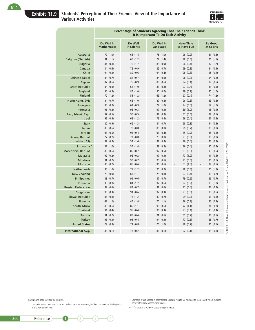# **Exhibit R1.9 Students' Perception of Their Friends' View of the Importance of Various Activities**



|                                | Percentage of Students Agreeing That Their Friends Think<br>It Is Important To Do Each Activity |                       |                        |                                 |                             |  |  |  |
|--------------------------------|-------------------------------------------------------------------------------------------------|-----------------------|------------------------|---------------------------------|-----------------------------|--|--|--|
|                                | Do Well in<br><b>Mathematics</b>                                                                | Do Well<br>in Science | Do Well in<br>Language | <b>Have Time</b><br>to Have Fun | <b>Be Good</b><br>at Sports |  |  |  |
| Australia                      | 79 (1.0)                                                                                        | 65 (1.4)              | 78 (1.0)               | 98 (0.2)                        | 81(0.8)                     |  |  |  |
| <b>Belgium (Flemish)</b>       | 81(1.1)                                                                                         | 66 (1.2)              | 77(1.4)                | 98 (0.5)                        | 76 (1.1)                    |  |  |  |
| <b>Bulgaria</b>                | 84 (0.8)                                                                                        | 70(1.7)               | 85 (0.9)               | 96 (0.4)                        | 82(1.2)                     |  |  |  |
| Canada                         | 84 (0.6)                                                                                        | 72 (0.9)              | 82 (0.7)               | 99 (0.1)                        | 84 (0.9)                    |  |  |  |
| Chile                          | 94 (0.3)                                                                                        | 89 (0.6)              | 94 (0.4)               | 98 (0.3)                        | 95 (0.4)                    |  |  |  |
| <b>Chinese Taipei</b>          | 84 (0.7)                                                                                        | 82(0.7)               | 84 (0.6)               | 98 (0.2)                        | 94 (0.4)                    |  |  |  |
| Cyprus                         | 87 (0.6)                                                                                        | 75 (0.9)              | 88 (0.6)               | 94 (0.4)                        | 89 (0.5)                    |  |  |  |
| <b>Czech Republic</b>          | 84 (0.9)                                                                                        | 68 (1.0)              | 83 (0.8)               | 97 (0.4)                        | 83 (0.9)                    |  |  |  |
| England                        | 90 (0.8)                                                                                        | 84 (1.0)              | 90 (0.7)               | 99 (0.2)                        | 80(1.0)                     |  |  |  |
| Finland                        | 70(1.2)                                                                                         | 53 (1.2)              | 65 (1.2)               | 97 (0.4)                        | 74 (1.2)                    |  |  |  |
| Hong Kong, SAR                 | 84 (0.7)                                                                                        | 66 (1.0)              | 87(0.8)                | 96(0.3)                         | 83 (0.8)                    |  |  |  |
| Hungary                        | 80(0.9)                                                                                         | 62 (0.9)              | 79 (1.0)               | 94 (0.5)                        | 62(1.0)                     |  |  |  |
| Indonesia                      | 96(0.2)                                                                                         | 96 (0.3)              | 97(0.3)                | 69 (1.0)                        | 95 (0.4)                    |  |  |  |
| Iran, Islamic Rep.             | 92 (0.5)                                                                                        | 90(0.5)               | 89 (0.8)               | 87 (0.6)                        | 92 (0.5)                    |  |  |  |
| Israel                         | 92 (0.5)                                                                                        | 68 (1.2)              | 79 (0.9)               | 96 (0.4)                        | 81 (0.9)                    |  |  |  |
| Italy                          | 80(0.9)                                                                                         | 66 (1.3)              | 84 (0.7)               | 98 (0.3)                        | 94 (0.5)                    |  |  |  |
| Japan                          | 85 (0.6)                                                                                        | 78 (0.8)              | 85 (0.8)               | 99 (0.2)                        | 80(0.7)                     |  |  |  |
| Jordan                         | 93 (0.5)                                                                                        | 95 (0.4)              | 93 (0.4)               | 85(0.7)                         | 88 (0.6)                    |  |  |  |
| Korea, Rep. of<br>Latvia (LSS) | 77(0.7)<br>87 (0.9)                                                                             | 72 (0.8)<br>53 (1.6)  | 73 (0.8)<br>87 (0.8)   | 93 (0.3)<br>96 (0.4)            | 80(0.8)<br>85 (0.7)         |  |  |  |
| Lithuania <sup>#</sup>         | 87(1.0)                                                                                         | 54 (1.4)              | 88 (0.8)               | 96 (0.4)                        | 90(0.7)                     |  |  |  |
| Macedonia, Rep. of             | 89 (0.6)                                                                                        | 86 (0.7)              | 92 (0.5)               | 93 (0.6)                        | 93 (0.5)                    |  |  |  |
| Malaysia                       | 99 (0.2)                                                                                        | 98 (0.2)              | 97(0.3)                | 77(1.0)                         | 91(0.5)                     |  |  |  |
| Moldova                        | 91(0.7)                                                                                         | 90(0.7)               | 93 (0.6)               | 93 (0.5)                        | 90(0.6)                     |  |  |  |
| Morocco                        | 88 (0.7)<br>r                                                                                   | 86 (0.6)<br>r         | 86(0.6)<br>r           | 63(1.0)<br>r                    | 89(0.5)<br>r                |  |  |  |
| <b>Netherlands</b>             | 88 (1.0)                                                                                        | 79 (1.2)              | 90 (0.9)               | 98 (0.4)                        | 70 (1.9)                    |  |  |  |
| <b>New Zealand</b>             | 76 (0.9)                                                                                        | 67 (1.1)              | 75 (0.8)               | 97(0.4)                         | 86 (0.7)                    |  |  |  |
| Philippines                    | 88 (0.7)                                                                                        | 91 (0.6)              | 87(0.7)                | 79 (0.9)                        | 86(0.7)                     |  |  |  |
| Romania                        | 90 (0.9)                                                                                        | 84 (1.2)              | 92 (0.6)               | 92 (0.9)                        | 83 (1.0)                    |  |  |  |
| <b>Russian Federation</b>      | 89(0.6)                                                                                         | 83 (0.7)              | 89 (0.6)               | 97 (0.4)                        | 87(0.8)                     |  |  |  |
| Singapore                      | 96 (0.3)                                                                                        | 94 (0.6)              | 97 (0.3)               | 93 (0.6)                        | 88 (0.6)                    |  |  |  |
| <b>Slovak Republic</b>         | 88 (0.9)                                                                                        | 78 (1.2)              | 89 (0.7)               | 99 (0.2)                        | 93 (0.6)                    |  |  |  |
| Slovenia                       | 69 (1.2)                                                                                        | 44 (1.4)              | 70(1.1)                | 96 (0.3)                        | 85 (0.9)                    |  |  |  |
| South Africa                   | 88 (0.6)                                                                                        | 85(1.1)               | 90 (0.6)               | 72(1.1)                         | 81(0.7)                     |  |  |  |
| Thailand                       | 94 (0.4)                                                                                        | 95 (0.4)              | 96 (0.3)               | 93 (0.4)                        | 95 (0.4)                    |  |  |  |
| <b>Tunisia</b>                 | 91(0.7)                                                                                         | 88 (0.6)              | 91 (0.6)               | 81(0.7)                         | 88 (0.5)                    |  |  |  |
| Turkey                         | 93 (0.3)                                                                                        | 93 (0.4)              | 94 (0.3)               | 77 (0.8)                        | 85 (0.7)                    |  |  |  |
| <b>United States</b>           | 79 (0.8)                                                                                        | 72 (0.8)              | 76 (1.0)               | 98 (0.2)                        | 86(0.5)                     |  |  |  |
| <b>International Avg.</b>      | 86(0.1)                                                                                         | 77(0.2)               | 86(0.1)                | 92(0.1)                         | 85(0.1)                     |  |  |  |

Background data provided by students.

‡ Lithuania tested the same cohort of students as other countries, but later in 1999, at the beginning of the next school year.

( ) Standard errors appear in parentheses. Because results are rounded to the nearest whole number, some totals may appear inconsistent.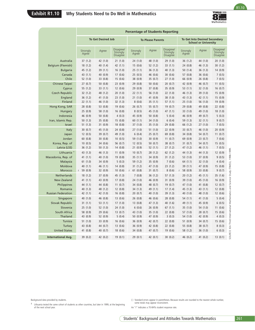

R1.10

| Australia<br>Belgium (Flemish)<br><b>Bulgaria</b><br>Canada<br>Chile<br><b>Chinese Taipei</b><br>Cyprus<br><b>Czech Republic</b> | Strongly<br>Agree<br>37(1.2)<br>18(1.2)<br>45 (1.2)<br>43 (1.1) | <b>To Get Desired Job</b><br>Agree |                                          |                     |                          |                                   |                       |                                                                     |                                          |
|----------------------------------------------------------------------------------------------------------------------------------|-----------------------------------------------------------------|------------------------------------|------------------------------------------|---------------------|--------------------------|-----------------------------------|-----------------------|---------------------------------------------------------------------|------------------------------------------|
|                                                                                                                                  |                                                                 |                                    |                                          |                     | <b>To Please Parents</b> |                                   |                       | <b>To Get Into Desired Secondary</b><br><b>School or University</b> |                                          |
|                                                                                                                                  |                                                                 |                                    | Disagree/<br>Strongly<br><b>Disagree</b> | Strongly<br>Agree   | Agree                    | Disagree/<br>Strongly<br>Disagree | Strongly<br>Agree     | Agree                                                               | Disagree/<br>Strongly<br><b>Disagree</b> |
|                                                                                                                                  |                                                                 | 42 (1.0)                           | 21(1.0)                                  | 24(1.0)             | 48 (1.0)                 | 29(1.0)                           | 36(1.2)               | 44 (1.0)                                                            | 20(1.0)                                  |
|                                                                                                                                  |                                                                 | 40 (1.4)                           | 42 (1.1)                                 | 15(0.6)             | 52 (1.2)                 | 33(1.1)                           | 24(0.8)               | 46 (1.3)                                                            | 30(1.2)                                  |
|                                                                                                                                  |                                                                 | 39 (1.1)                           | 16(1.0)                                  | 25(1.1)             | 36(1.3)                  | 40 (1.3)                          | 50(1.4)               | 36(1.3)                                                             | 14(0.9)                                  |
|                                                                                                                                  | 52(1.0)                                                         | 40 (0.9)<br>33 (0.8)               | 17(0.6)<br>15(0.6)                       | 25(0.5)<br>38 (0.9) | 46 (0.6)<br>35 (0.7)     | 30(0.6)<br>27(1.0)                | 57 (0.8)<br>66 (0.9)  | 36 (0.6)<br>26 (0.8)                                                | 7(0.5)<br>7(0.5)                         |
|                                                                                                                                  | 27(0.7)                                                         | 50(0.8)                            | 23(0.9)                                  | 29(0.8)             | 50(0.6)                  | 20(0.7)                           | 42 (0.9)              | 46 (0.7)                                                            | 11(0.5)                                  |
|                                                                                                                                  | 55 (1.2)                                                        | 33(1.1)                            | 12(0.6)                                  | 29(0.9)             | 37 (0.8)                 | 35 (0.9)                          | 53 $(1.1)$            | 32(1.0)                                                             | 16(0.7)                                  |
|                                                                                                                                  | 32(1.2)                                                         | 48 (1.2)                           | 20(1.0)                                  | 22(1.1)             | 56 (1.0)                 | 22(1.0)                           | 46 (1.3)              | 39 (1.0)                                                            | 15(0.9)                                  |
| England                                                                                                                          | 36(1.2)                                                         | 41 (1.0)                           | 23(1.0)                                  | 21(1.0)             | 41 (0.9)                 | 38 (1.0)                          | 43 (1.3)              | 42 (1.1)                                                            | 15(0.9)                                  |
| Finland                                                                                                                          | 22(1.1)                                                         | 46 (1.0)                           | 32 (1.3)                                 | 8(0.6)              | 35 (1.1)                 | 57 (1.1)                          | 25(1.0)               | 56 (1.0)                                                            | 19(0.9)                                  |
| Hong Kong, SAR                                                                                                                   | 28 (0.8)                                                        | 53 (0.8)                           | 19 (0.6)                                 | 26(0.7)             | 55 (0.7)                 | 19(0.7)                           | 29(0.8)               | 49 (0.8)                                                            | 22 (0.8)                                 |
| Hungary<br>Indonesia                                                                                                             | 25(0.9)<br>46 (0.9)                                             | 58 (1.0)<br>50(0.8)                | 16(0.8)<br>4(0.3)                        | 8(0.5)<br>45 (0.9)  | 45 (1.0)<br>50(0.8)      | 47 (1.1)<br>5(0.4)                | 33(1.0)<br>46 (0.9)   | 49 (1.0)<br>49 (0.7)                                                | 18(1.0)<br>5(0.3)                        |
| Iran, Islamic Rep.                                                                                                               | 50(1.3)                                                         | 35 (0.8)                           | 15(0.8)                                  | 60(1.1)             | 34 (1.0)                 | 6(0.4)                            | 59 (1.3)              | 32(1.1)                                                             | 9(0.7)                                   |
| Israel                                                                                                                           | 51(1.3)                                                         | 31(0.9)                            | 18(0.8)                                  | 37(1.0)             | 35(1.0)                  | 29 (0.8)                          | 66 (1.2)              | 27(1.0)                                                             | 7(0.5)                                   |
| Italy                                                                                                                            | 30(0.7)                                                         | 45 (1.0)                           | 24 (0.8)                                 | 27(1.0)             | 51(1.0)                  | 22(0.9)                           | 33 (0.7)              | 46 (1.0)                                                            | 20 (0.9)                                 |
| Japan                                                                                                                            | 12(0.5)                                                         | 39 (0.7)                           | 49 (1.0)                                 | 6(0.4)              | 25(0.7)                  | 69 (0.8)                          | 34 (0.8)              | 54 (0.7)                                                            | 11(0.7)                                  |
| Jordan                                                                                                                           | 60(0.8)                                                         | 30(0.8)                            | 10(0.5)                                  | 59 (1.0)            | 30(0.9)                  | 11(0.7)                           | 69 (0.9)              | 23(0.7)                                                             | 7(0.6)                                   |
| Korea, Rep. of<br>Latvia (LSS)                                                                                                   | 10(0.5)<br>36(1.2)                                              | 34 (0.6)<br>50(1.3)                | 56 (0.7)<br>14(0.8)                      | 12(0.5)<br>21(0.9)  | 50(0.7)<br>52(1.1)       | 38 (0.7)<br>27(1.2)               | 31(0.7)<br>47 (1.2)   | 54 (0.7)<br>46 (1.1)                                                | 15(0.5)<br>7(0.5)                        |
| Lithuania <sup>#</sup>                                                                                                           | 43 (1.3)                                                        | 46 (1.3)                           | 11(0.9)                                  | 10(0.7)             | 28 (1.2)                 | 62(1.2)                           | 44 (1.3)              | 44 (1.3)                                                            | 12 (0.9)                                 |
| Macedonia, Rep. of                                                                                                               | 41(1.1)                                                         | 40 (1.0)                           | 19 (0.8)                                 | 35(1.1)             | 34 (0.9)                 | 31(1.2)                           | 53 $(1.0)$            | 37(0.9)                                                             | 9(0.5)                                   |
| Malaysia                                                                                                                         | 61(1.0)                                                         | 34 (0.9)                           | 5(0.3)                                   | 59 (1.2)            | 35 (0.9)                 | 7(0.6)                            | 64(1.1)               | 32(1.0)                                                             | 4(0.4)                                   |
| Moldova                                                                                                                          | 40(1.1)                                                         | 46 (1.1)                           | 14(0.8)                                  | 31(1.2)             | 47 (1.0)                 | 23(1.2)                           | 39(1.1)               | 47 (0.9)                                                            | 15(0.8)                                  |
| Morocco                                                                                                                          | $r$ 59 (0.9)                                                    | 32 (0.9)                           | 10(0.6)                                  | 61(0.8)<br>r        | 31(0.7)                  | 8(0.6)                            | 58 (0.9)<br>r         | 33 (0.8)                                                            | 9(0.7)                                   |
| Netherlands                                                                                                                      | 18(1.2)                                                         | 37 (0.9)                           | 45 (1.3)                                 | 7(0.8)              | 36(1.2)                  | 57 (1.3)                          | 20(1.2)               | 45 (1.1)                                                            | 35 (1.6)                                 |
| <b>New Zealand</b><br>Philippines                                                                                                | 41(1.1)<br>44 (1.1)                                             | 43 (0.9)<br>44 (0.8)               | 17(0.8)<br>11(0.7)                       | 24(1.0)<br>34 (0.8) | 46 (0.9)<br>48 (0.7)     | 31 (0.9)<br>19(0.7)               | 39 (1.0)<br>47 (1.0)  | 45 (1.0)<br>41 (0.8)                                                | 16(0.9)<br>12(0.7)                       |
| Romania                                                                                                                          | 40 (1.3)                                                        | 48 (1.2)                           | 12(0.8)                                  | 34(1.3)             | 49 (1.1)                 | 17(1.4)                           | 45 (1.3)              | 43 (1.1)                                                            | 12(0.8)                                  |
| <b>Russian Federation</b>                                                                                                        | 42 (1.1)                                                        | 42 (1.0)                           | 16(0.8)                                  | 20(0.7)             | 40 (1.0)                 | 39 (1.3)                          | 40 (1.0)              | 48 (1.0)                                                            | 12(0.6)                                  |
| Singapore                                                                                                                        | 40 (1.0)                                                        | 46 (0.8)                           | 13(0.6)                                  | 26(0.8)             | 46 (0.6)                 | 28 (0.8)                          | 54 (1.1)              | 41 (1.0)                                                            | 5(0.4)                                   |
| Slovak Republic                                                                                                                  | 31(1.1)                                                         | 53 $(1.1)$                         | 17(1.0)                                  | 13(0.8)             | 47 (1.3)                 | 40 (1.6)                          | 49 (1.1)              | 45 (0.9)                                                            | 6(0.5)                                   |
| Slovenia<br>South Africa                                                                                                         | 25(1.0)<br>58 (0.9)                                             | 52(1.0)<br>29 (0.6)                | 24 (1.0)<br>13(0.7)                      | 6(0.6)<br>43 (1.0)  | 26 (0.9)<br>35(1.0)      | 67(1.1)<br>22(0.8)                | 35(1.0)<br>57 $(1.0)$ | 54 (1.0)<br>28(0.7)                                                 | 11(0.6)<br>15(0.6)                       |
| Thailand                                                                                                                         | 43 (0.9)                                                        | 52 (0.9)                           | 5(0.4)                                   | 50 (0.9)            | 47 (0.9)                 | 3(0.3)                            | 54 (1.0)              | 42 (0.9)                                                            | 4(0.3)                                   |
| Tunisia                                                                                                                          | 51(1.0)                                                         | 33 (0.9)                           | 16(0.6)                                  | 36 (0.9)            | 42 (0.7)                 | 22(0.8)                           | 51(0.9)               | 34 (0.7)                                                            | 15(0.6)                                  |
| Turkey                                                                                                                           | 43 (0.8)                                                        | 44 (0.7)                           | 13(0.6)                                  | 36(0.9)             | 42 (0.8)                 | 22(0.8)                           | 55 (0.8)              | 38(0.7)                                                             | 8(0.3)                                   |
| <b>United States</b>                                                                                                             | 41 (0.8)                                                        | 40 (0.7)                           | 18(0.6)                                  | 34 (0.8)            | 47 (0.7)                 | 19 (0.6)                          | 58 (1.2)              | 36 (1.0)                                                            | 6(0.3)                                   |
| <b>International Avg.</b>                                                                                                        | 39 (0.2)                                                        | 42 (0.2)                           | 19(0.1)                                  | 29(0.1)             | 42 (0.1)                 | 30(0.2)                           | 46 (0.2)              | 41 (0.2)                                                            | 13(0.1)                                  |

Background data provided by students.

‡ Lithuania tested the same cohort of students as other countries, but later in 1999, at the beginning of the next school year.

<sup>( )</sup> Standard errors appear in parentheses. Because results are rounded to the nearest whole number, some totals may appear inconsistent.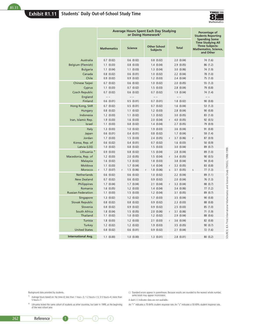

|                           |                               | <b>Average Hours Spent Each Day Studying</b><br>or Doing Homework <sup>1</sup> |                                        |                             | Percentage of<br><b>Students Reporting</b>                                                                       |
|---------------------------|-------------------------------|--------------------------------------------------------------------------------|----------------------------------------|-----------------------------|------------------------------------------------------------------------------------------------------------------|
|                           | <b>Mathematics</b>            | <b>Science</b>                                                                 | <b>Other School</b><br><b>Subjects</b> | <b>Total</b>                | Spending Some<br><b>Time Studying All</b><br><b>Three Subjects:</b><br><b>Mathematics, Science,</b><br>and Other |
| Australia                 | $0.7$ $(0.02)$                | $0.6$ $(0.02)$                                                                 | $0.8$ $(0.02)$                         | 2.0(0.04)                   | 74 (1.6)                                                                                                         |
| <b>Belgium (Flemish)</b>  | $1.1$ $(0.03)$                | $0.8$ $(0.03)$                                                                 | 1.4(0.04)                              | 2.9(0.05)                   | 86(1.2)                                                                                                          |
| <b>Bulgaria</b>           | $1.1$ $(0.04)$                | $1.1$ (0.03)                                                                   | 1.3(0.04)                              | 3.0 (0.06)                  | 74 (1.9)                                                                                                         |
| Canada                    | $0.8$ $(0.02)$                | $0.6$ $(0.01)$                                                                 | 1.0 (0.02)                             | $2.2$ $(0.04)$              | 78 (1.0)                                                                                                         |
| Chile                     | 0.9(0.02)                     | 0.9(0.02)                                                                      | $1.2$ $(0.03)$                         | 2.4(0.04)                   | 75 (1.0)                                                                                                         |
| <b>Chinese Taipei</b>     | $0.7$ $(0.02)$                | 0.6(0.02)                                                                      | 1.0(0.02)                              | 2.0(0.05)                   | 55(1.3)                                                                                                          |
| Cyprus                    | $1.1$ $(0.03)$                | $0.7$ $(0.02)$                                                                 | 1.5(0.03)                              | 2.8(0.04)                   | 79 (0.8)                                                                                                         |
| <b>Czech Republic</b>     | $0.7$ $(0.02)$                | $0.6$ $(0.02)$                                                                 | $0.7$ $(0.02)$                         | 1.9(0.04)                   | 74 (1.4)                                                                                                         |
| England                   | $- -$                         |                                                                                |                                        | $ -$                        | $\overline{\phantom{m}}$                                                                                         |
| Finland                   | 0.6(0.01)                     | 0.5(0.01)                                                                      | $0.7$ $(0.01)$                         | 1.8(0.02)                   | 90(0.8)                                                                                                          |
| Hong Kong, SAR            | $0.7$ $(0.02)$                | 0.5(0.01)                                                                      | $0.7$ $(0.02)$                         | 1.6(0.04)                   | 53(1.3)                                                                                                          |
| Hungary                   | $0.8$ $(0.02)$                | $1.1$ $(0.02)$                                                                 | $1.2$ $(0.03)$                         | 2.8(0.04)                   | 90(0.8)                                                                                                          |
| Indonesia                 | $1.2$ $(0.03)$                | $1.1$ $(0.02)$                                                                 | $1.3$ $(0.02)$                         | 3.0 (0.05)                  | 83 (1.0)                                                                                                         |
| Iran, Islamic Rep.        | 1.9(0.03)                     | 1.6(0.03)                                                                      | 2.0(0.04)                              | $4.0$ $(0.05)$<br>r         | 92(0.5)                                                                                                          |
| Israel                    | $1.1 \ (0.03)$                | $0.8$ $(0.02)$                                                                 | 1.4(0.04)                              | 2.7(0.05)                   | 79 (0.9)                                                                                                         |
| Italy                     | 1.3(0.03)                     | 1.0(0.02)                                                                      | 1.9(0.03)                              | 3.6(0.04)                   | 91(0.8)                                                                                                          |
| Japan                     | $0.6$ $(0.01)$                | 0.4(0.01)                                                                      | $0.8$ $(0.02)$                         | 1.7(0.04)                   | 59 (1.4)                                                                                                         |
| Jordan<br>Korea, Rep. of  | 1.7(0.03)<br>$0.6$ $(0.02)$   | 1.5(0.03)<br>0.4(0.01)                                                         | 2.4(0.05)<br>$0.7$ $(0.02)$            | 3.7(0.06)<br>r<br>1.6(0.03) | 87(0.9)<br>r<br>50(0.9)                                                                                          |
| Latvia (LSS)              | 1.0 (0.02)                    | $0.8$ $(0.02)$                                                                 | 1.5(0.03)                              | 3.0(0.04)                   | 89 (0.7)                                                                                                         |
| Lithuania <sup>+</sup>    | 0.9(0.03)                     | $0.8$ $(0.02)$                                                                 | 1.5(0.04)                              | 2.8(0.04)                   | 89 (1.0)                                                                                                         |
| Macedonia, Rep. of        | $1.2$ $(0.03)$                | 2.0(0.05)                                                                      | 1.5(0.04)                              | 3.4(0.05)<br>r              | 90(0.5)                                                                                                          |
| Malaysia                  | 1.6(0.02)                     | 1.3(0.02)                                                                      | 1.8(0.03)                              | 3.8(0.04)                   | 94 (0.4)                                                                                                         |
| Moldova                   | $1.1$ $(0.03)$                | 1.7(0.04)                                                                      | 1.4(0.04)                              | 3.3(0.05)<br>r              | 83 (0.8)                                                                                                         |
| Morocco                   | $1.7$ $(0.07)$<br>$\mathsf r$ | 1.5(0.06)<br>$\mathsf{r}$                                                      | 1.8(0.06)<br>r                         | 3.1 (0.05)<br>$\sf S$       | 77(1.3)<br>S                                                                                                     |
| <b>Netherlands</b>        | $0.6$ $(0.02)$                | 0.6(0.02)                                                                      | 1.0 (0.02)                             | $2.2$ $(0.04)$              | 89(1.1)                                                                                                          |
| <b>New Zealand</b>        | $0.7$ $(0.02)$                | $0.6$ $(0.02)$                                                                 | 0.9(0.02)                              | 2.0(0.04)                   | 76 (1.3)                                                                                                         |
| Philippines               | $1.7$ $(0.04)$                | 1.7(0.04)                                                                      | $2.1$ $(0.04)$                         | 3.3(0.04)<br>r              | 88 (0.7)                                                                                                         |
| Romania                   | $1.6$ (0.05)                  | $1.2$ $(0.03)$                                                                 | 1.4(0.04)                              | 3.4(0.06)                   | 77(1.2)                                                                                                          |
| <b>Russian Federation</b> | $1.1 \ (0.03)$                | 1.5(0.03)                                                                      | $1.2$ $(0.04)$                         | 3.1 (0.05)                  | 89 (0.7)                                                                                                         |
| Singapore                 | $1.3$ $(0.02)$                | $1.2$ $(0.02)$                                                                 | 1.7(0.03)                              | 3.5(0.04)                   | 90(0.8)                                                                                                          |
| <b>Slovak Republic</b>    | $0.8$ $(0.02)$                | $0.8$ $(0.02)$                                                                 | 0.9(0.02)                              | $2.3$ $(0.03)$              | 88 (0.8)                                                                                                         |
| Slovenia                  | $0.8$ $(0.02)$                | 0.9(0.02)                                                                      | 0.9(0.02)                              | 2.5(0.03)                   | 85 (1.0)                                                                                                         |
| South Africa              | 1.8(0.04)                     | 1.5(0.05)                                                                      | 2.0(0.06)                              | $3.1 \ (0.06)$<br>r         | 71(1.9)                                                                                                          |
| Thailand                  | $1.1 \ (0.02)$                | 1.0 (0.02)                                                                     | $1.2 \ (0.02)$                         | 2.9(0.04)                   | 88 (0.6)                                                                                                         |
| Tunisia                   | 1.8(0.03)                     | $1.2$ $(0.03)$                                                                 | $2.1$ $(0.03)$                         | 3.6(0.04)<br>r              | 82 (0.8)                                                                                                         |
| Turkey                    | $1.2$ $(0.02)$                | $1.2$ $(0.02)$                                                                 | 1.9(0.03)                              | 3.5(0.05)                   | 90(0.7)                                                                                                          |
| <b>United States</b>      | $0.8$ $(0.02)$                | $0.6$ $(0.01)$                                                                 | 0.9(0.02)                              | 2.1(0.04)                   | SOURCE: IEA Third International Mathematics and Science Study (TIMSS), 1998-1999<br>72(1.6)                      |
| <b>International Avg.</b> | 1.1(0.00)                     | 1.0 (0.00)                                                                     | 1.3(0.01)                              | 2.8(0.01)                   | 80(0.2)                                                                                                          |

Background data provided by students.

- 1 Average hours based on: No time=0; less than 1 hour=.5; 1-2 hours=1.5; 3-5 hours=4; more than 5 hours=7.
- ‡ Lithuania tested the same cohort of students as other countries, but later in 1999, at the beginning of the next school year.
- ( ) Standard errors appear in parentheses. Because results are rounded to the nearest whole number, some totals may appear inconsistent.

A dash (–) indicates data are not available.

An "r" indicates a 70-84% student response rate. An "s" indicates a 50-69% student response rate.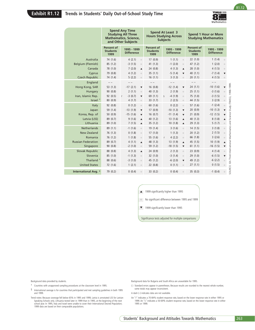# **Exhibit R1.12 Trends in Students' Daily Out-of-School Study Time**



R1.12

|                                                                                                                                                                                                                                               |                       |                                       | <b>Spend Any Time</b><br><b>Studying All Three</b><br><b>Mathematics, Science,</b><br>and Other Subjects |                                              | <b>Spend At Least 3</b><br><b>Hours Studying Across</b><br><b>Subjects</b>                                                                                                                               | <b>Spend 1 Hour or More</b><br><b>Studying Mathematics</b> |                                                                          |  |
|-----------------------------------------------------------------------------------------------------------------------------------------------------------------------------------------------------------------------------------------------|-----------------------|---------------------------------------|----------------------------------------------------------------------------------------------------------|----------------------------------------------|----------------------------------------------------------------------------------------------------------------------------------------------------------------------------------------------------------|------------------------------------------------------------|--------------------------------------------------------------------------|--|
|                                                                                                                                                                                                                                               |                       | Percent of<br><b>Students</b><br>1999 | 1995 - 1999<br><b>Difference</b>                                                                         | Percent of<br><b>Students</b><br>1999        | 1995 - 1999<br><b>Difference</b>                                                                                                                                                                         | Percent of<br><b>Students</b><br>1999                      | 1995 - 1999<br><b>Difference</b>                                         |  |
|                                                                                                                                                                                                                                               | Australia             | 74 (1.6)                              | 4(2.1)<br>$\circ$                                                                                        | 17(0.9)                                      | 1(1.1)<br>$\hfill\ensuremath{\circ}$                                                                                                                                                                     | 22(1.0)                                                    | 1(1.4)<br>$\hskip 1.6cm \circ$                                           |  |
| Belgium (Flemish)                                                                                                                                                                                                                             |                       | 85 (1.2)                              | $-3(1.5)$<br>$\hfill\textcircled{\ensuremath{\mathnormal{\sqcup}}\,}$                                    | 41 (1.3)                                     | $-1(2.0)$<br>$\hfill\ensuremath{\circ}$                                                                                                                                                                  | 47 (1.2)                                                   | 1(2.0)<br>$\bullet$                                                      |  |
|                                                                                                                                                                                                                                               | Canada                | 78 (1.0)                              | 7(2.0)<br>$\blacktriangle$                                                                               | 24 (0.8)                                     | 4(1.3)<br>$\blacktriangle$                                                                                                                                                                               | 28 (1.0)                                                   | 4(1.5)<br>$\bullet$                                                      |  |
|                                                                                                                                                                                                                                               | Cyprus                | 79 (0.8)                              | 4(1.2)<br>$\hfill\textcircled{\ensuremath{\circ}}$                                                       | 35(1.1)                                      | $-5(1.4)$<br>$\blacktriangledown$                                                                                                                                                                        | 40 (1.1)                                                   | $-7(1.4)$<br>▼                                                           |  |
| <b>Czech Republic</b>                                                                                                                                                                                                                         |                       | 74 (1.4)                              | 5(2.2)<br>$\hfill\ensuremath{\circ}$                                                                     | 16(1.1)                                      | 3(1.3)<br>$\hfill\textcircled{\ensuremath{\circ}}$                                                                                                                                                       | 20(1.1)                                                    | 4(1.5)<br>$\hskip 1.6cm \circ$                                           |  |
|                                                                                                                                                                                                                                               | England               | $- -$                                 | $- -$                                                                                                    | $ -$                                         | $- -$                                                                                                                                                                                                    | $- -$                                                      | $\hspace{0.1cm} - \hspace{0.1cm} - \hspace{0.1cm}$                       |  |
| Hong Kong, SAR                                                                                                                                                                                                                                |                       | 53 (1.3)                              | $-17(2.1)$<br>$\blacktriangledown$                                                                       | 16(0.8)                                      | $-12(1.4)$<br>$\blacktriangledown$                                                                                                                                                                       | 24(1.1)                                                    | $-10(1.6)$<br>▼                                                          |  |
| Iran, Islamic Rep.                                                                                                                                                                                                                            | Hungary               | 90(0.8)                               | 2(1.1)<br>$\hfill \textcircled{1}$<br>$-3(0.7)$                                                          | 40 (1.3)                                     | 2(1.9)<br>$\circ$<br>S                                                                                                                                                                                   | 25 (1.1)<br>75 (1.0)                                       | $-3(1.6)$<br>$-3(1.5)$                                                   |  |
|                                                                                                                                                                                                                                               | Israel <sup>†</sup>   | 92 (0.5)<br>80(0.9)                   | r<br>$\blacktriangledown$<br>4(1.7)<br>$\hfill\ensuremath{\circ}$                                        | 69 (1.1)<br>33 (1.7)                         | $-4(1.9)$<br>$\hfill\textcircled{\ensuremath{\mathnormal{\sqcup}}\,}$<br>2(2.5)<br>$\odot$                                                                                                               | 44 (1.5)                                                   | $\bullet$<br>3(2.9)<br>$\bullet$                                         |  |
|                                                                                                                                                                                                                                               | <b>Italy</b>          | 92 (0.8)                              | 0(1.2)<br>$\hfill\textcircled{\ensuremath{\mathbb{R}}}$                                                  | 60 (1.6)                                     | 0(2.2)<br>$\circ$                                                                                                                                                                                        | 57 (1.6)                                                   | $-1(2.4)$<br>$\hskip 1.6cm \circ$                                        |  |
|                                                                                                                                                                                                                                               | Japan                 | 59 (1.4)                              | $-13(1.9)$<br>$\blacktriangledown$                                                                       | 17(0.9)                                      | $-10(1.3)$<br>$\blacktriangledown$                                                                                                                                                                       | 20(0.9)                                                    | $-10(1.3)$<br>▼                                                          |  |
|                                                                                                                                                                                                                                               | Korea, Rep. of        | 50 (0.9)                              | $-15(1.6)$<br>$\blacktriangledown$                                                                       | 16(0.7)                                      | $-11(1.4)$<br>$\blacktriangledown$                                                                                                                                                                       | 21(0.9)                                                    | $-12(1.5)$<br>▼                                                          |  |
|                                                                                                                                                                                                                                               | Latvia (LSS)          | 89 (0.7)                              | 9(1.6)<br>$\blacktriangle$                                                                               | 40 (1.2)                                     | 13(1.6)<br>$\blacktriangle$                                                                                                                                                                              | 40 (1.3)                                                   | 8(1.8)<br>$\blacktriangle$                                               |  |
|                                                                                                                                                                                                                                               | Lithuania             | 89 (1.0)                              | 7(1.5)<br>$\blacktriangle$                                                                               | 35 (1.2)                                     | 10(1.8)<br>$\blacktriangle$                                                                                                                                                                              | 29 (1.3)                                                   | 5(1.7)<br>$\hfill \textcircled{\ensuremath{\mathnormal{\sqcup}}\xspace}$ |  |
|                                                                                                                                                                                                                                               | <b>Netherlands</b>    | 89 (1.1)                              | $-1(1.6)$<br>$\hfill\textcircled{\ensuremath{\mathbb{R}}}$                                               | 19 (1.4)                                     | 3(1.6)<br>$\circ$                                                                                                                                                                                        | 14(1.5)                                                    | 3(1.8)<br>$\hfill \textcircled{\ensuremath{\mathnormal{\sqcup}}\xspace}$ |  |
|                                                                                                                                                                                                                                               | <b>New Zealand</b>    | 76 (1.3)                              | 0(1.8)<br>$\hfill \textcircled{\ensuremath{\mathbb{R}}}$                                                 | 17(1.0)                                      | 1(1.3)<br>$\circ$                                                                                                                                                                                        | 20(1.2)                                                    | 2(1.5)<br>$\bullet$                                                      |  |
|                                                                                                                                                                                                                                               | Romania               | 76 (1.2)                              | 1(1.8)<br>$\hfill \textcircled{1}$                                                                       | 55 (1.6)                                     | 4(2.2)<br>r<br>$\circ$                                                                                                                                                                                   | 66 (1.8)                                                   | 3(2.6)<br>$\bullet$                                                      |  |
| <b>Russian Federation</b>                                                                                                                                                                                                                     |                       | 89 (0.7)                              | 4(1.1)<br>$\blacktriangle$                                                                               | 48 (1.3)                                     | 13(1.9)<br>$\blacktriangle$                                                                                                                                                                              | 45 (1.5)                                                   | 10(1.9)<br>$\blacktriangle$                                              |  |
|                                                                                                                                                                                                                                               | Singapore             | 90(0.8)                               | -2 (1.0)<br>$\hfill\ensuremath{\circ}$                                                                   | 59 (1.2)                                     | $-18(1.5)$<br>$\blacktriangledown$                                                                                                                                                                       | 61(1.1)                                                    | -16 (1.5)<br>▼                                                           |  |
| <b>Slovak Republic</b>                                                                                                                                                                                                                        | Slovenia              | 88 (0.8)                              | 4(1.3)<br>$\blacktriangle$                                                                               | 24 (0.9)                                     | 2(1.3)<br>$\odot$                                                                                                                                                                                        | 23 (0.9)                                                   | 4(1.4)<br>$\bullet$                                                      |  |
|                                                                                                                                                                                                                                               | Thailand <sup>+</sup> | 85 (1.0)<br>88 (0.6)                  | $-1(1.3)$<br>$\hfill \textcircled{\ensuremath{\mathbb{R}}}$<br>$-3(1.0)$<br>$\bullet$                    | 32 (1.0)<br>45 (1.2)                         | $-3(1.4)$<br>$\odot$<br>$-6(2.0)$<br>$\blacktriangledown$                                                                                                                                                | 29 (1.0)<br>49 (1.2)                                       | $-6(1.5)$<br>$-6(2.2)$<br>$\bullet$                                      |  |
|                                                                                                                                                                                                                                               | <b>United States</b>  | 72 (1.6)                              | 1(2.1)<br>$\circ$                                                                                        | 22 (0.8)                                     | 0(1.1)<br>$\hfill \textcircled{\ensuremath{\mathnormal{\sqcup}}\,}$                                                                                                                                      | 27(1.1)                                                    | 0(1.5)                                                                   |  |
| International Avg. §                                                                                                                                                                                                                          |                       | 79 (0.2)                              | 0(0.4)                                                                                                   | 33 (0.2)                                     | 0(0.4)<br>$\bullet$                                                                                                                                                                                      | 35(0.3)                                                    | $-1(0.4)$                                                                |  |
|                                                                                                                                                                                                                                               |                       |                                       | $\qquad \qquad \circ$                                                                                    |                                              | ▲ 1999 significantly higher than 1995<br>No significant difference between 1995 and 1999<br>▼ 1999 significantly lower than 1995<br>Significance tests adjusted for multiple comparisons                 |                                                            |                                                                          |  |
|                                                                                                                                                                                                                                               |                       |                                       |                                                                                                          |                                              |                                                                                                                                                                                                          |                                                            |                                                                          |  |
| dents.                                                                                                                                                                                                                                        |                       |                                       |                                                                                                          |                                              | Background data for Bulgaria and South Africa are unavailable for 1995.                                                                                                                                  |                                                            |                                                                          |  |
| mpling procedures at the classroom level in 1995.                                                                                                                                                                                             |                       |                                       |                                                                                                          |                                              | () Standard errors appear in parentheses. Because results are rounded to the nearest whole number,                                                                                                       |                                                            |                                                                          |  |
| untries that participated and met sampling guidelines in both 1995                                                                                                                                                                            |                       |                                       |                                                                                                          | some totals may appear inconsistent.         |                                                                                                                                                                                                          |                                                            |                                                                          |  |
| Il below 65% in 1995 and 1999, Latvia is annotated LSS for Latvian<br>nia tested later in 1999 than in 1995, at the beginning of the next<br>I Israel were unable to cover their International Desired Population;<br>comparable populations. |                       |                                       | 1995 or 1999.                                                                                            | A dash (-) indicates data are not available. | An "r" indicates a 70-84% student response rate, based on the lower response rate in either 1995 or<br>1999. An "s" indicates a 50-69% student response rate, based on the lower response rate in either |                                                            |                                                                          |  |
|                                                                                                                                                                                                                                               |                       |                                       |                                                                                                          |                                              | Students' Background and Attitudes Towards Mathematics                                                                                                                                                   |                                                            |                                                                          |  |

- ▲ 1999 significantly higher than 1995
- No significant difference between 1995 and 1999
- ▼ 1999 significantly lower than 1995

Background data provided by students.

- † Countries with unapproved sampling procedures at the classroom level in 1995.
- § International average is for countries that participated and met sampling guidelines in both 1995 and 1999.
- Trend notes: Because coverage fell below 65% in 1995 and 1999, Latvia is annotated LSS for Latvian Speaking Schools only. Lithuania tested later in 1999 than in 1995, at the beginning of the next school year. In 1995, Italy and Israel were unable to cover their International Desired Population; 1999 data are based on their comparable populations.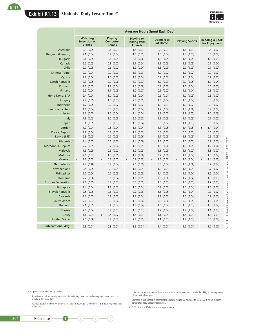**Exhibit R1.13 Students' Daily Leisure Time\***



|                                   | Average Hours Spent Each Day <sup>1</sup>                |                                     |                                                            |                              |                               |                                                                                                     |  |  |  |  |  |
|-----------------------------------|----------------------------------------------------------|-------------------------------------|------------------------------------------------------------|------------------------------|-------------------------------|-----------------------------------------------------------------------------------------------------|--|--|--|--|--|
|                                   | <b>Watching</b><br><b>Television or</b><br><b>Videos</b> | Playing<br>Computer<br><b>Games</b> | <b>Playing or</b><br><b>Talking With</b><br><b>Friends</b> | <b>Doing Jobs</b><br>at Home | <b>Playing Sports</b>         | <b>Reading a Book</b><br>for Enjoyment                                                              |  |  |  |  |  |
| Australia                         | $2.3$ $(0.05)$                                           | $0.8$ $(0.03)$                      | 1.5(0.03)                                                  | 0.9(0.03)                    | 1.6(0.03)                     | $0.6$ $(0.02)$                                                                                      |  |  |  |  |  |
| Belgium (Flemish)                 | 2.1(0.04)                                                | 0.9(0.04)                           | $1.8$ $(0.05)$                                             | 1.0 (0.04)                   | 1.8(0.07)                     | $0.6$ $(0.02)$                                                                                      |  |  |  |  |  |
| <b>Bulgaria</b>                   | $2.8$ $(0.05)$                                           | $0.8$ $(0.04)$                      | $2.6$ $(0.06)$                                             | 1.9(0.04)                    | 1.5(0.05)                     | 1.0(0.03)                                                                                           |  |  |  |  |  |
| Canada                            | $2.2$ $(0.03)$                                           | $0.8$ $(0.02)$                      | 2.1(0.04)                                                  | $1.1$ $(0.03)$               | 1.9(0.03)                     | $0.7$ $(0.04)$                                                                                      |  |  |  |  |  |
| Chile                             | $2.7$ $(0.05)$                                           | $0.6$ $(0.02)$                      | 1.9(0.04)                                                  | 1.5(0.03)                    | $2.0$ $(0.03)$                | $0.7$ $(0.02)$                                                                                      |  |  |  |  |  |
| <b>Chinese Taipei</b>             | 2.0(0.04)                                                | 0.9(0.03)                           | 1.3(0.03)                                                  | 1.0 (0.02)                   | $1.2$ $(0.02)$                | 0.9(0.02)                                                                                           |  |  |  |  |  |
| Cyprus                            | $2.2$ $(0.04)$                                           | 1.0<br>(0.03)                       | 1.8(0.04)                                                  | (0.03)<br>0.9                | 1.4<br>(0.04)                 | $0.7$ $(0.02)$                                                                                      |  |  |  |  |  |
| <b>Czech Republic</b>             | $2.3$ $(0.05)$                                           | 0.9<br>(0.06)                       | 3.0 (0.07)                                                 | $1.2$ $(0.03)$               | 2.0<br>(0.05)                 | 1.0(0.04)                                                                                           |  |  |  |  |  |
| England<br>Finland                | 2.6(0.05)<br>2.5(0.04)                                   | $1.2$ $(0.04)$<br>$1.1$ $(0.03)$    | 2.5(0.08)<br>$3.2$ $(0.07)$                                | $0.8$ $(0.02)$<br>0.9(0.02)  | 1.6(0.04)<br>1.6(0.04)        | $0.6$ $(0.02)$<br>$0.8$ $(0.02)$                                                                    |  |  |  |  |  |
| Hong Kong, SAR                    | 2.4(0.04)                                                | 1.0 (0.03)                          | $1.3$ $(0.04)$                                             | $0.6$ $(0.01)$               | (0.03)<br>1.0                 | $0.8$ $(0.02)$                                                                                      |  |  |  |  |  |
| Hungary                           | $2.7$ $(0.05)$                                           | 1.0 (0.03)                          | $2.0$ $(0.05)$                                             | (0.04)<br>1.6                | 1.5<br>(0.04)                 | $0.8$ $(0.02)$                                                                                      |  |  |  |  |  |
| Indonesia                         | 1.7(0.05)                                                | $0.2$ $(0.02)$                      | 1.1(0.02)                                                  | 1.9(0.03)                    | 1.0<br>(0.02)                 | 0.9(0.02)                                                                                           |  |  |  |  |  |
| Iran, Islamic Rep.                | 1.8(0.04)                                                | $0.3$ $(0.03)$                      | 1.3(0.04)                                                  | 1.7(0.04)                    | 1.3<br>(0.06)                 | 0.9(0.02)                                                                                           |  |  |  |  |  |
| Israel                            | 3.1 (0.05)                                               | 1.5(0.04)                           | 2.4(0.04)                                                  | $1.3$ $(0.05)$               | $1.8$ $(0.05)$                | 1.0 (0.03)                                                                                          |  |  |  |  |  |
| Italy                             | 1.8(0.03)                                                | 1.0 (0.03)                          | $2.7$ $(0.05)$                                             | $1.1$ $(0.03)$               | 1.7(0.03)                     | $0.7$ $(0.02)$                                                                                      |  |  |  |  |  |
| Japan                             | 3.1 (0.05)                                               | 0.9(0.03)                           | 1.8(0.04)                                                  | 0.5(0.02)                    | $1.1$ $(0.03)$                | $0.8$ $(0.02)$                                                                                      |  |  |  |  |  |
| Jordan                            | $1.7$ $(0.04)$                                           | $0.8$ $(0.04)$                      | $1.1$ $(0.04)$                                             | $1.3$ $(0.05)$               | 1.4(0.05)                     | 1.4(0.04)<br>r                                                                                      |  |  |  |  |  |
| Korea, Rep. of                    | 2.9(0.04)                                                | $0.8$ $(0.03)$                      | 1.3(0.03)                                                  | $0.6$ $(0.01)$               | $0.6$ $(0.02)$                | $0.6$ $(0.01)$                                                                                      |  |  |  |  |  |
| Latvia (LSS)                      | $2.8$ $(0.05)$                                           | $0.7$ $(0.03)$                      | 2.6(0.06)                                                  | $1.7$ $(0.03)$               | $1.3$ $(0.03)$                | 0.9(0.03)                                                                                           |  |  |  |  |  |
| Lithuania <sup>+</sup>            | 2.4(0.05)                                                | $0.6$ $(0.03)$                      | 2.4(0.06)                                                  | 1.6<br>(0.05)                | 1.0<br>(0.03)                 | $0.7$ $(0.02)$                                                                                      |  |  |  |  |  |
| Macedonia, Rep. of                | $2.2$ $(0.05)$                                           | $0.7$ $(0.04)$                      | $1.8$ $(0.05)$                                             | 1.9<br>(0.04)                | 1.8<br>(0.05)                 | $1.2$ $(0.04)$                                                                                      |  |  |  |  |  |
| Malaysia                          | 1.9(0.05)                                                | 0.5(0.02)                           | $1.2$ $(0.03)$                                             | 1.8(0.03)                    | $1.1$ $(0.02)$                | 1.1(0.02)                                                                                           |  |  |  |  |  |
| Moldova                           | 2.6(0.07)                                                | 1.0 (0.05)                          | 1.9(0.06)                                                  | $3.2$ $(0.09)$               | 1.4(0.04)                     | 1.5(0.04)                                                                                           |  |  |  |  |  |
| <b>Morocco</b>                    | $1.1$ $(0.03)$                                           | 0.7(0.02)<br>r                      | 0.9(0.03)<br>r                                             | 1.5(0.03)<br>r               | 1.5<br>(0.04)<br>$\mathsf{r}$ | 1.4(0.05)<br>r                                                                                      |  |  |  |  |  |
| Netherlands<br><b>New Zealand</b> | 2.4(0.10)<br>2.5(0.05)                                   | 0.9<br>(0.04)<br>0.9(0.04)          | 2.6(0.09)<br>1.6(0.04)                                     | 0.8<br>(0.04)<br>1.0(0.03)   | 1.8<br>(0.06)<br>1.5(0.04)    | $0.7$ $(0.04)$<br>$0.7$ $(0.02)$                                                                    |  |  |  |  |  |
| Philippines                       | 1.7(0.04)                                                | $0.7$ $(0.03)$                      | $1.2$ $(0.03)$                                             | (0.05)<br>2.4                | 1.6<br>(0.04)                 | 1.6<br>(0.04)                                                                                       |  |  |  |  |  |
| Romania                           | $2.2$ $(0.06)$                                           | $0.6$ $(0.04)$                      | 1.6(0.05)                                                  | 2.0<br>(0.06)                | $1.2$ $(0.04)$                | 1.0(0.03)                                                                                           |  |  |  |  |  |
| <b>Russian Federation</b>         | 2.6(0.05)                                                | $0.7$ $(0.03)$                      | 3.0 (0.05)                                                 | 1.5(0.03)                    | $1.3$ $(0.03)$                | $1.2 \ (0.03)$                                                                                      |  |  |  |  |  |
| Singapore                         | 2.4(0.04)                                                | $1.1$ $(0.03)$                      | 1.5(0.04)                                                  | 0.9(0.02)                    | 1.5(0.04)                     | 1.0 (0.02)                                                                                          |  |  |  |  |  |
| <b>Slovak Republic</b>            | 2.5(0.06)                                                | $0.6$ $(0.03)$                      | 2.7(0.06)                                                  | 1.6(0.05)                    | 1.9<br>(0.04)                 | 0.7(0.02)                                                                                           |  |  |  |  |  |
| Slovenia                          | $2.3$ $(0.05)$                                           | 0.9(0.03)                           | 1.8(0.04)                                                  | $1.2$ $(0.03)$               | 1.6<br>(0.04)                 | $0.7$ $(0.02)$                                                                                      |  |  |  |  |  |
| South Africa                      | 2.0(0.07)                                                | $0.8$ $(0.04)$                      | 1.5(0.04)                                                  | 2.0(0.04)                    | 2.0(0.05)                     | 1.8(0.05)                                                                                           |  |  |  |  |  |
| Thailand                          | $2.1$ $(0.05)$                                           | 0.4(0.02)                           | 1.6(0.04)                                                  | 1.6(0.02)                    | 1.5(0.03)                     | 1.0 (0.02)                                                                                          |  |  |  |  |  |
| <b>Tunisia</b>                    | $2.0$ $(0.04)$                                           | (0.03)<br>0.9                       | 1.3(0.03)                                                  | 1.7(0.04)                    | 1.9<br>(0.04)                 | 1.4(0.03)                                                                                           |  |  |  |  |  |
| Turkey                            | 1.6(0.04)                                                | 0.4(0.02)<br>r                      | 1.5(0.03)                                                  | $1.1$ $(0.04)$               | 1.4(0.03)                     | $1.2$ $(0.03)$                                                                                      |  |  |  |  |  |
| <b>United States</b>              | 2.5(0.06)                                                | 0.9(0.02)                           | 2.4(0.05)                                                  | 1.1(0.03)                    | 1.9(0.03)                     | SOURCE: IEA Third International Mathematics and Science Study (TIMSS), 1998-1999.<br>$0.6$ $(0.02)$ |  |  |  |  |  |
| <b>International Avg.</b>         | 2.3(0.01)                                                | $0.8$ $(0.01)$                      | 1.9(0.01)                                                  | 1.4(0.01)                    | 1.5(0.01)                     | 1.0 (0.00)                                                                                          |  |  |  |  |  |

Background data provided by students.

- \* Activities are not necessarily exclusive; students may have reported engaging in more than one activity at the same time.
- 1 Average hours based on: No time=0; less than 1 hour=.5; 1-2 hours=1.5; 3-5 hours=4; more than 5 hours=7.
- ‡ Lithuania tested the same cohort of students as other countries, but later in 1999, at the beginning of the next school year.

( ) Standard errors appear in parentheses. Because results are rounded to the nearest whole number, some totals may appear inconsistent.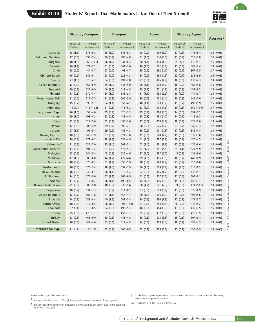# **Exhibit R1.14 Students' Reports That Mathematics Is Not One of Their Strengths**



R1.14

| Percent of<br>Average<br>Students<br>Achievement<br>18(1.1)<br>573 (5.8)<br>17(0.8)<br>598 (5.4)<br>18 (1.9)<br>560 (10.6)<br>26(1.2)<br>577 (3.2)<br>444 (8.7)<br>15(0.6)<br>16(0.6)<br>646 (6.1)<br>23(1.0)<br>525 (4.3)<br>12(0.9)<br>567 (6.9)<br>539 (6.9)<br>19(0.9)<br>17(0.8)<br>570 (4.4)<br>11(0.5)<br>619 (5.5)<br>15(0.7)<br>598 (5.7)<br>6(0.4)<br>411 (10.6)<br>26(1.0)<br>459 (4.6) | Percent of<br>Students<br>36(1.0)<br>30 (0.9)<br>26(1.2)<br>31(0.7)<br>27(0.7)<br>28(0.7)<br>34 (0.8)<br>35(1.2)<br>40 (1.2)<br>34 (1.0)<br>31(0.8)<br>34(1.1)                                                                                                                                                                                  | Average<br>Achievement<br>546 (5.3)<br>580 (4.8)<br>541 (6.3)<br>542 (3.0)<br>408 (4.7)<br>623 (4.3)<br>492 (2.8)<br>541 (5.0)<br>512 (4.5)<br>543 (3.8)<br>606 (3.9) | Percent of<br>Students<br>28(0.9)<br>31(1.0)<br>30(1.4)<br>26(1.0)<br>35(0.7)<br>34(0.7)<br>27(0.9)<br>36(1.1)<br>28 (1.2)<br>31(1.1)<br>39 (0.7)                                               | Average<br>Achievement<br>499 (5.2)<br>540 (4.5)<br>494 (4.9)<br>502 (4.7)<br>382 (4.7)<br>564 (4.5)<br>445 (2.9)<br>500 (4.7)<br>471 (4.8)<br>498 (2.6)      | Percent of<br>Students<br>17(0.8)<br>21(0.9)<br>25(1.5)<br>17(0.8)<br>23(0.7)<br>23(0.7)<br>16(0.6)<br>16(0.9)<br>13(0.8)<br>18(1.0)                                               | Average<br>Achievement<br>478 (5.4)<br>526 (3.8)<br>476 (5.1)<br>485 (3.4)<br>367 (5.5)<br>533 (3.9)<br>438 (4.3)<br>486 (5.8)<br>458 (6.3)            | Average <sup>1</sup><br>2.4(0.03)<br>2.6(0.02)<br>$2.6$ $(0.05)$<br>$2.3$ $(0.03)$<br>$2.7$ $(0.02)$<br>2.6(0.02)<br>2.4(0.02)<br>2.6(0.03)<br>2.4(0.02)              |
|----------------------------------------------------------------------------------------------------------------------------------------------------------------------------------------------------------------------------------------------------------------------------------------------------------------------------------------------------------------------------------------------------|-------------------------------------------------------------------------------------------------------------------------------------------------------------------------------------------------------------------------------------------------------------------------------------------------------------------------------------------------|-----------------------------------------------------------------------------------------------------------------------------------------------------------------------|-------------------------------------------------------------------------------------------------------------------------------------------------------------------------------------------------|---------------------------------------------------------------------------------------------------------------------------------------------------------------|------------------------------------------------------------------------------------------------------------------------------------------------------------------------------------|--------------------------------------------------------------------------------------------------------------------------------------------------------|-----------------------------------------------------------------------------------------------------------------------------------------------------------------------|
|                                                                                                                                                                                                                                                                                                                                                                                                    |                                                                                                                                                                                                                                                                                                                                                 |                                                                                                                                                                       |                                                                                                                                                                                                 |                                                                                                                                                               |                                                                                                                                                                                    |                                                                                                                                                        |                                                                                                                                                                       |
|                                                                                                                                                                                                                                                                                                                                                                                                    |                                                                                                                                                                                                                                                                                                                                                 |                                                                                                                                                                       |                                                                                                                                                                                                 |                                                                                                                                                               |                                                                                                                                                                                    |                                                                                                                                                        |                                                                                                                                                                       |
|                                                                                                                                                                                                                                                                                                                                                                                                    |                                                                                                                                                                                                                                                                                                                                                 |                                                                                                                                                                       |                                                                                                                                                                                                 |                                                                                                                                                               |                                                                                                                                                                                    |                                                                                                                                                        |                                                                                                                                                                       |
|                                                                                                                                                                                                                                                                                                                                                                                                    |                                                                                                                                                                                                                                                                                                                                                 |                                                                                                                                                                       |                                                                                                                                                                                                 |                                                                                                                                                               |                                                                                                                                                                                    |                                                                                                                                                        |                                                                                                                                                                       |
|                                                                                                                                                                                                                                                                                                                                                                                                    |                                                                                                                                                                                                                                                                                                                                                 |                                                                                                                                                                       |                                                                                                                                                                                                 |                                                                                                                                                               |                                                                                                                                                                                    |                                                                                                                                                        |                                                                                                                                                                       |
|                                                                                                                                                                                                                                                                                                                                                                                                    |                                                                                                                                                                                                                                                                                                                                                 |                                                                                                                                                                       |                                                                                                                                                                                                 |                                                                                                                                                               |                                                                                                                                                                                    |                                                                                                                                                        |                                                                                                                                                                       |
|                                                                                                                                                                                                                                                                                                                                                                                                    |                                                                                                                                                                                                                                                                                                                                                 |                                                                                                                                                                       |                                                                                                                                                                                                 |                                                                                                                                                               |                                                                                                                                                                                    |                                                                                                                                                        |                                                                                                                                                                       |
|                                                                                                                                                                                                                                                                                                                                                                                                    |                                                                                                                                                                                                                                                                                                                                                 |                                                                                                                                                                       |                                                                                                                                                                                                 |                                                                                                                                                               |                                                                                                                                                                                    |                                                                                                                                                        |                                                                                                                                                                       |
|                                                                                                                                                                                                                                                                                                                                                                                                    |                                                                                                                                                                                                                                                                                                                                                 |                                                                                                                                                                       |                                                                                                                                                                                                 |                                                                                                                                                               |                                                                                                                                                                                    |                                                                                                                                                        |                                                                                                                                                                       |
|                                                                                                                                                                                                                                                                                                                                                                                                    |                                                                                                                                                                                                                                                                                                                                                 |                                                                                                                                                                       |                                                                                                                                                                                                 |                                                                                                                                                               |                                                                                                                                                                                    |                                                                                                                                                        |                                                                                                                                                                       |
|                                                                                                                                                                                                                                                                                                                                                                                                    |                                                                                                                                                                                                                                                                                                                                                 |                                                                                                                                                                       |                                                                                                                                                                                                 |                                                                                                                                                               |                                                                                                                                                                                    | 474 (3.7)                                                                                                                                              | 2.5(0.03)                                                                                                                                                             |
|                                                                                                                                                                                                                                                                                                                                                                                                    |                                                                                                                                                                                                                                                                                                                                                 |                                                                                                                                                                       |                                                                                                                                                                                                 | 573 (4.4)                                                                                                                                                     | 20(0.8)                                                                                                                                                                            | 549 (5.0)                                                                                                                                              | 2.7(0.02)                                                                                                                                                             |
|                                                                                                                                                                                                                                                                                                                                                                                                    |                                                                                                                                                                                                                                                                                                                                                 | 552 (4.7)                                                                                                                                                             | 40(1.1)                                                                                                                                                                                         | 503 (3.7)                                                                                                                                                     | 11(0.7)                                                                                                                                                                            | 493 (5.9)                                                                                                                                              | 2.5(0.02)                                                                                                                                                             |
|                                                                                                                                                                                                                                                                                                                                                                                                    | 31(0.8)                                                                                                                                                                                                                                                                                                                                         | 418 (5.2)                                                                                                                                                             | 53 (1.0)                                                                                                                                                                                        | 404 (4.6)                                                                                                                                                     | 10(0.5)                                                                                                                                                                            | 359 (10.7)                                                                                                                                             | $2.7$ $(0.01)$                                                                                                                                                        |
| 29(1.0)<br>508 (4.2)                                                                                                                                                                                                                                                                                                                                                                               | 35 (0.7)<br>32 (0.8)                                                                                                                                                                                                                                                                                                                            | 426 (3.3)<br>483 (4.5)                                                                                                                                                | 25 (0.9)<br>25(0.8)                                                                                                                                                                             | 404 (4.5)<br>438 (4.0)                                                                                                                                        | 14(0.6)<br>14(0.7)                                                                                                                                                                 | 397 (5.2)<br>418 (6.3)                                                                                                                                 | $2.3$ $(0.02)$<br>$2.2$ $(0.02)$                                                                                                                                      |
| 22(0.9)<br>529 (5.6)                                                                                                                                                                                                                                                                                                                                                                               | 32 (0.9)                                                                                                                                                                                                                                                                                                                                        | 495 (3.6)                                                                                                                                                             | 27(0.8)                                                                                                                                                                                         | 456 (4.9)                                                                                                                                                     | 18(0.9)                                                                                                                                                                            | 435 (5.0)                                                                                                                                              | 2.4(0.02)                                                                                                                                                             |
|                                                                                                                                                                                                                                                                                                                                                                                                    | 29(0.7)                                                                                                                                                                                                                                                                                                                                         |                                                                                                                                                                       |                                                                                                                                                                                                 |                                                                                                                                                               |                                                                                                                                                                                    |                                                                                                                                                        | $2.7$ $(0.02)$                                                                                                                                                        |
|                                                                                                                                                                                                                                                                                                                                                                                                    |                                                                                                                                                                                                                                                                                                                                                 |                                                                                                                                                                       |                                                                                                                                                                                                 |                                                                                                                                                               |                                                                                                                                                                                    |                                                                                                                                                        | $2.3$ $(0.03)$                                                                                                                                                        |
|                                                                                                                                                                                                                                                                                                                                                                                                    |                                                                                                                                                                                                                                                                                                                                                 |                                                                                                                                                                       |                                                                                                                                                                                                 |                                                                                                                                                               |                                                                                                                                                                                    |                                                                                                                                                        | 2.6(0.02)                                                                                                                                                             |
| 10(0.7)<br>572 (6.2)                                                                                                                                                                                                                                                                                                                                                                               | 28(1.1)                                                                                                                                                                                                                                                                                                                                         | 534 (4.9)                                                                                                                                                             | 41(1.0)                                                                                                                                                                                         | 487 (3.8)                                                                                                                                                     | 20(0.9)                                                                                                                                                                            | 470 (4.3)                                                                                                                                              | $2.7$ $(0.02)$                                                                                                                                                        |
| 11(0.8)<br>536 (7.0)                                                                                                                                                                                                                                                                                                                                                                               | 35(1.4)                                                                                                                                                                                                                                                                                                                                         | 508 (5.1)                                                                                                                                                             | 42 (1.4)                                                                                                                                                                                        | 461 (3.9)                                                                                                                                                     | 12(0.9)                                                                                                                                                                            | 436 (6.6)                                                                                                                                              | 2.6(0.03)                                                                                                                                                             |
| 13(0.6)<br>501 (7.2)                                                                                                                                                                                                                                                                                                                                                                               | 27(0.9)                                                                                                                                                                                                                                                                                                                                         | 474 (5.3)                                                                                                                                                             | 37(1.0)                                                                                                                                                                                         | 441 (5.4)                                                                                                                                                     | 24(1.1)                                                                                                                                                                            | 423 (4.9)                                                                                                                                              | 2.7(0.02)                                                                                                                                                             |
| 544 (5.4)<br>23(0.9)                                                                                                                                                                                                                                                                                                                                                                               | 45 (0.9)                                                                                                                                                                                                                                                                                                                                        | 525 (4.6)                                                                                                                                                             | 27(1.0)                                                                                                                                                                                         | 497 (5.1)                                                                                                                                                     | 5(0.3)                                                                                                                                                                             | 481 (6.6)                                                                                                                                              | $2.1 \ (0.02)$                                                                                                                                                        |
| 17(1.0)<br>506 (6.0)                                                                                                                                                                                                                                                                                                                                                                               | 44 (1.2)                                                                                                                                                                                                                                                                                                                                        | 477 (4.6)                                                                                                                                                             | 29 (1.0)                                                                                                                                                                                        | 455 (5.5)                                                                                                                                                     | 10(0.7)                                                                                                                                                                            | 440 (6.9)                                                                                                                                              | $2.3$ $(0.02)$                                                                                                                                                        |
| 18(0.7)<br>378 (6.1)                                                                                                                                                                                                                                                                                                                                                                               | 32(1.2)                                                                                                                                                                                                                                                                                                                                         | 350 (5.9)                                                                                                                                                             | 28(0.9)                                                                                                                                                                                         | 324 (4.2)                                                                                                                                                     | 22(0.7)                                                                                                                                                                            | 320 (6.0)                                                                                                                                              | 2.5(0.02)                                                                                                                                                             |
| 16 (0.8)                                                                                                                                                                                                                                                                                                                                                                                           | 28 (1.4)                                                                                                                                                                                                                                                                                                                                        |                                                                                                                                                                       | 36(1.5)                                                                                                                                                                                         | 529 (8.2)                                                                                                                                                     |                                                                                                                                                                                    | 515 (9.2)                                                                                                                                              | 2.6(0.03)                                                                                                                                                             |
|                                                                                                                                                                                                                                                                                                                                                                                                    |                                                                                                                                                                                                                                                                                                                                                 |                                                                                                                                                                       |                                                                                                                                                                                                 |                                                                                                                                                               |                                                                                                                                                                                    |                                                                                                                                                        | 2.5(0.03)                                                                                                                                                             |
|                                                                                                                                                                                                                                                                                                                                                                                                    |                                                                                                                                                                                                                                                                                                                                                 |                                                                                                                                                                       |                                                                                                                                                                                                 |                                                                                                                                                               |                                                                                                                                                                                    |                                                                                                                                                        | 2.5(0.02)                                                                                                                                                             |
|                                                                                                                                                                                                                                                                                                                                                                                                    |                                                                                                                                                                                                                                                                                                                                                 |                                                                                                                                                                       |                                                                                                                                                                                                 |                                                                                                                                                               |                                                                                                                                                                                    |                                                                                                                                                        | 2.7(0.02)                                                                                                                                                             |
|                                                                                                                                                                                                                                                                                                                                                                                                    |                                                                                                                                                                                                                                                                                                                                                 |                                                                                                                                                                       |                                                                                                                                                                                                 |                                                                                                                                                               |                                                                                                                                                                                    |                                                                                                                                                        | $2.3$ $(0.03)$                                                                                                                                                        |
|                                                                                                                                                                                                                                                                                                                                                                                                    |                                                                                                                                                                                                                                                                                                                                                 |                                                                                                                                                                       |                                                                                                                                                                                                 |                                                                                                                                                               |                                                                                                                                                                                    |                                                                                                                                                        | 2.4(0.02)<br>2.6(0.02)                                                                                                                                                |
|                                                                                                                                                                                                                                                                                                                                                                                                    |                                                                                                                                                                                                                                                                                                                                                 |                                                                                                                                                                       |                                                                                                                                                                                                 |                                                                                                                                                               |                                                                                                                                                                                    |                                                                                                                                                        | $2.2$ $(0.02)$                                                                                                                                                        |
|                                                                                                                                                                                                                                                                                                                                                                                                    |                                                                                                                                                                                                                                                                                                                                                 |                                                                                                                                                                       |                                                                                                                                                                                                 |                                                                                                                                                               |                                                                                                                                                                                    |                                                                                                                                                        | 2.6(0.02)                                                                                                                                                             |
|                                                                                                                                                                                                                                                                                                                                                                                                    |                                                                                                                                                                                                                                                                                                                                                 |                                                                                                                                                                       |                                                                                                                                                                                                 |                                                                                                                                                               |                                                                                                                                                                                    |                                                                                                                                                        | 2.6(0.02)                                                                                                                                                             |
|                                                                                                                                                                                                                                                                                                                                                                                                    |                                                                                                                                                                                                                                                                                                                                                 |                                                                                                                                                                       |                                                                                                                                                                                                 |                                                                                                                                                               |                                                                                                                                                                                    |                                                                                                                                                        | 2.4(0.02)                                                                                                                                                             |
| 13(0.5)                                                                                                                                                                                                                                                                                                                                                                                            |                                                                                                                                                                                                                                                                                                                                                 |                                                                                                                                                                       |                                                                                                                                                                                                 |                                                                                                                                                               | 15(0.6)                                                                                                                                                                            | 397 (6.4)                                                                                                                                              | 2.5(0.02)                                                                                                                                                             |
| 26(0.8)<br>547 (4.6)                                                                                                                                                                                                                                                                                                                                                                               | 33 (0.6)                                                                                                                                                                                                                                                                                                                                        | 517 (4.5)                                                                                                                                                             | 24(0.6)                                                                                                                                                                                         | 478 (4.4)                                                                                                                                                     | 18(0.7)                                                                                                                                                                            | 455 (4.3)                                                                                                                                              | $2.3$ $(0.02)$                                                                                                                                                        |
| 17(0.1)<br>532 (1.0)                                                                                                                                                                                                                                                                                                                                                                               | 33(0.2)                                                                                                                                                                                                                                                                                                                                         | 506 (0.8)                                                                                                                                                             | 33(0.2)                                                                                                                                                                                         | 469 (0.8)                                                                                                                                                     | 17(0.1)                                                                                                                                                                            | 450 (0.9)                                                                                                                                              | 2.5(0.00)                                                                                                                                                             |
|                                                                                                                                                                                                                                                                                                                                                                                                    | 12(0.5)<br>602 (4.9)<br>27(1.1)<br>491 (5.4)<br>10(0.5)<br>648 (3.9)<br>570 (7.4)<br>16 (0.8)<br>548 (6.7)<br>14(0.5)<br>374 (9.6)<br>11(0.7)<br>517 (6.2)<br>21(0.9)<br>580 (5.8)<br>16(0.7)<br>631 (7.3)<br>12(0.7)<br>586 (7.8)<br>24 (0.8)<br>583 (4.4)<br>18(0.6)<br>313 (8.5)<br>7(0.4)<br>515 (8.5)<br>25(0.8)<br>476 (3.7)<br>468 (5.9) | 29(0.9)<br>33 $(0.7)$<br>36(1.1)<br>37(1.1)<br>26(1.1)<br>40 (0.9)<br>37(0.7)<br>34(1.1)<br>40(1.2)<br>26(1.0)<br>34(0.9)<br>31(0.8)<br>36(0.8)                       | 598 (2.7)<br>446 (4.3)<br>621 (3.0)<br>557 (7.9)<br>518 (5.4)<br>368 (6.9)<br>498 (6.5)<br>538 (5.6)<br>614(6.1)<br>554 (4.4)<br>542 (3.4)<br>295 (12.4)<br>490 (5.2)<br>452 (3.7)<br>446 (4.8) | 38 (0.6)<br>26(0.9)<br>41 (0.8)<br>32 (0.9)<br>31(0.8)<br>44 (1.3)<br>30(1.2)<br>33 (0.8)<br>40 (1.2)<br>24(0.9)<br>31(0.8)<br>46 (0.9)<br>25(0.7)<br>36(0.8) | 576 (2.7)<br>401 (4.3)<br>564 (2.7)<br>466 (4.7)<br>337 (5.7)<br>466 (6.3)<br>501 (7.3)<br>593 (6.4)<br>516 (3.9)<br>490 (3.8)<br>264 (6.8)<br>454 (5.3)<br>432 (5.0)<br>425 (3.8) | 21(0.7)<br>17(0.8)<br>15(0.5)<br>20(1.0)<br>15(0.8)<br>17(0.8)<br>19(1.0)<br>9(0.6)<br>13(0.6)<br>14(0.8)<br>12(0.8)<br>26(0.9)<br>13(0.5)<br>19 (0.6) | 545 (3.3)<br>386 (4.8)<br>536 (3.6)<br>436 (5.1)<br>309(6.1)<br>450 (7.1)<br>471 (10.0)<br>575 (6.9)<br>498 (5.6)<br>471 (5.7)<br>247 (5.2)<br>435 (7.5)<br>428 (3.5) |